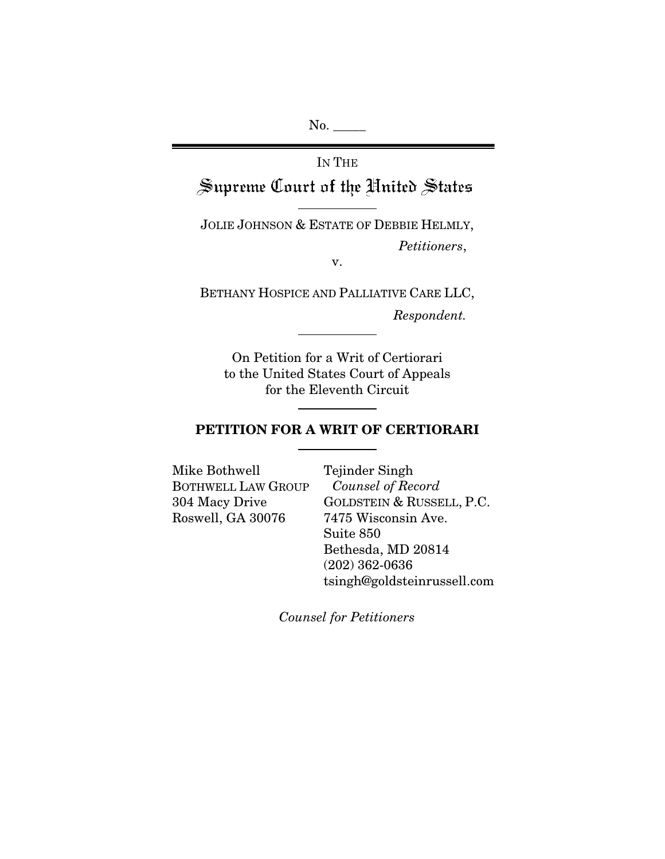No. \_\_\_\_\_

# IN THE Supreme Court of the United States

JOLIE JOHNSON & ESTATE OF DEBBIE HELMLY,  *Petitioners*,

v.

BETHANY HOSPICE AND PALLIATIVE CARE LLC,

*Respondent.* 

On Petition for a Writ of Certiorari to the United States Court of Appeals for the Eleventh Circuit

## PETITION FOR A WRIT OF CERTIORARI

Mike Bothwell BOTHWELL LAW GROUP 304 Macy Drive Roswell, GA 30076

Tejinder Singh *Counsel of Record* GOLDSTEIN & RUSSELL, P.C. 7475 Wisconsin Ave. Suite 850 Bethesda, MD 20814 (202) 362-0636 tsingh@goldsteinrussell.com

*Counsel for Petitioners*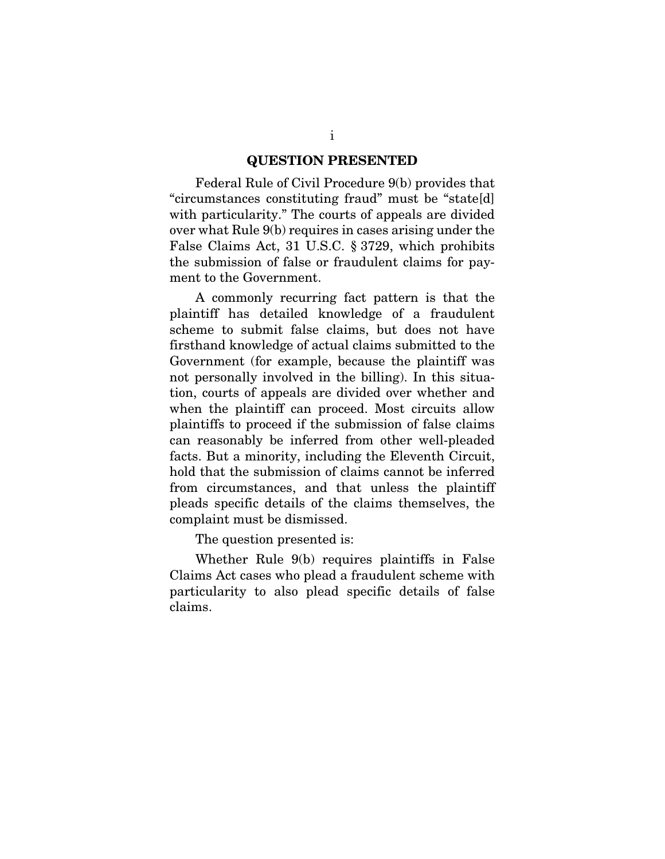#### QUESTION PRESENTED

<span id="page-1-0"></span>Federal Rule of Civil Procedure 9(b) provides that "circumstances constituting fraud" must be "state[d] with particularity." The courts of appeals are divided over what Rule 9(b) requires in cases arising under the False Claims Act, 31 U.S.C. § 3729, which prohibits the submission of false or fraudulent claims for payment to the Government.

A commonly recurring fact pattern is that the plaintiff has detailed knowledge of a fraudulent scheme to submit false claims, but does not have firsthand knowledge of actual claims submitted to the Government (for example, because the plaintiff was not personally involved in the billing). In this situation, courts of appeals are divided over whether and when the plaintiff can proceed. Most circuits allow plaintiffs to proceed if the submission of false claims can reasonably be inferred from other well-pleaded facts. But a minority, including the Eleventh Circuit, hold that the submission of claims cannot be inferred from circumstances, and that unless the plaintiff pleads specific details of the claims themselves, the complaint must be dismissed.

The question presented is:

Whether Rule 9(b) requires plaintiffs in False Claims Act cases who plead a fraudulent scheme with particularity to also plead specific details of false claims.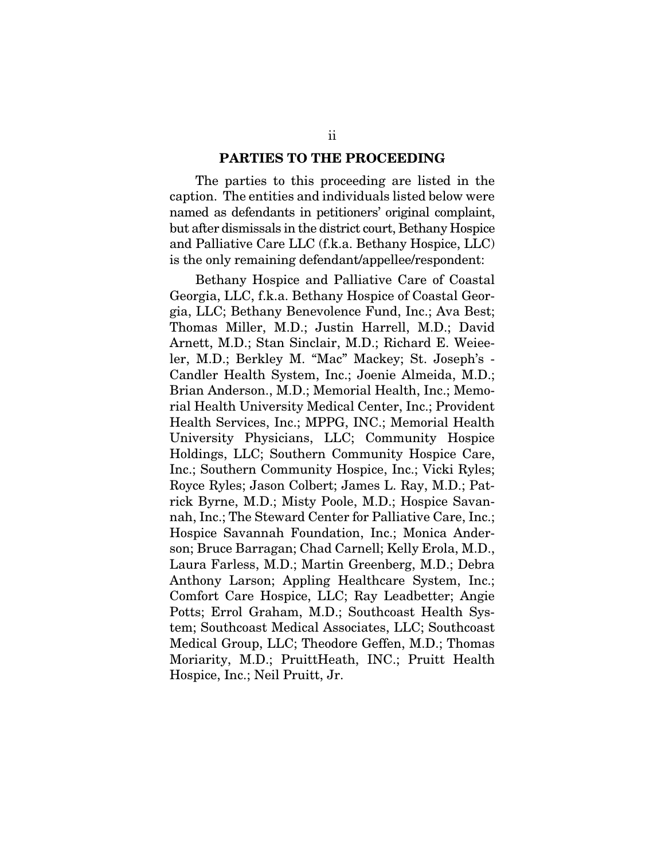#### PARTIES TO THE PROCEEDING

<span id="page-2-0"></span>The parties to this proceeding are listed in the caption. The entities and individuals listed below were named as defendants in petitioners' original complaint, but after dismissals in the district court, Bethany Hospice and Palliative Care LLC (f.k.a. Bethany Hospice, LLC) is the only remaining defendant/appellee/respondent:

Bethany Hospice and Palliative Care of Coastal Georgia, LLC, f.k.a. Bethany Hospice of Coastal Georgia, LLC; Bethany Benevolence Fund, Inc.; Ava Best; Thomas Miller, M.D.; Justin Harrell, M.D.; David Arnett, M.D.; Stan Sinclair, M.D.; Richard E. Weieeler, M.D.; Berkley M. "Mac" Mackey; St. Joseph's - Candler Health System, Inc.; Joenie Almeida, M.D.; Brian Anderson., M.D.; Memorial Health, Inc.; Memorial Health University Medical Center, Inc.; Provident Health Services, Inc.; MPPG, INC.; Memorial Health University Physicians, LLC; Community Hospice Holdings, LLC; Southern Community Hospice Care, Inc.; Southern Community Hospice, Inc.; Vicki Ryles; Royce Ryles; Jason Colbert; James L. Ray, M.D.; Patrick Byrne, M.D.; Misty Poole, M.D.; Hospice Savannah, Inc.; The Steward Center for Palliative Care, Inc.; Hospice Savannah Foundation, Inc.; Monica Anderson; Bruce Barragan; Chad Carnell; Kelly Erola, M.D., Laura Farless, M.D.; Martin Greenberg, M.D.; Debra Anthony Larson; Appling Healthcare System, Inc.; Comfort Care Hospice, LLC; Ray Leadbetter; Angie Potts; Errol Graham, M.D.; Southcoast Health System; Southcoast Medical Associates, LLC; Southcoast Medical Group, LLC; Theodore Geffen, M.D.; Thomas Moriarity, M.D.; PruittHeath, INC.; Pruitt Health Hospice, Inc.; Neil Pruitt, Jr.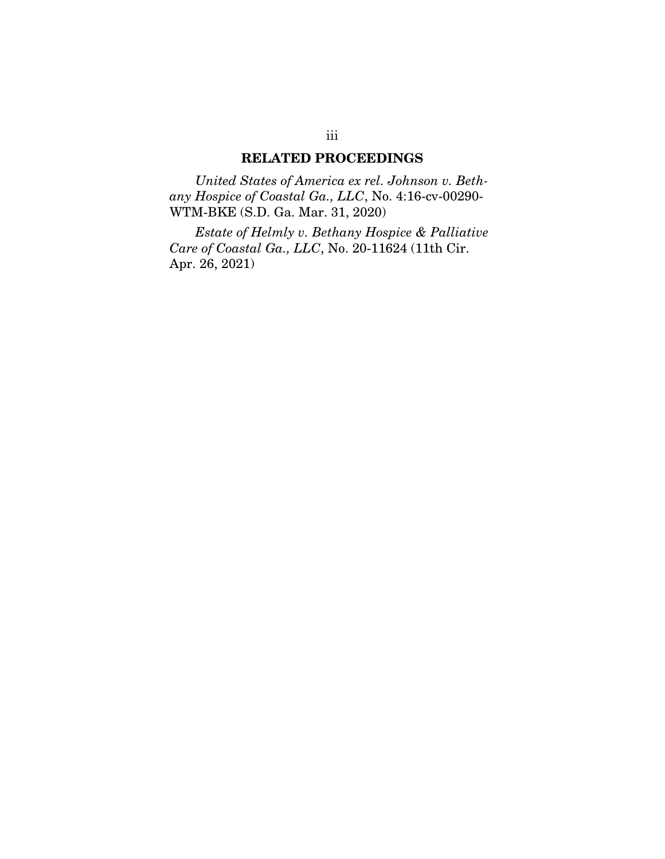## RELATED PROCEEDINGS

<span id="page-3-0"></span>*United States of America ex rel. Johnson v. Bethany Hospice of Coastal Ga., LLC*, No. 4:16-cv-00290- WTM-BKE (S.D. Ga. Mar. 31, 2020)

*Estate of Helmly v. Bethany Hospice & Palliative Care of Coastal Ga., LLC*, No. 20-11624 (11th Cir. Apr. 26, 2021)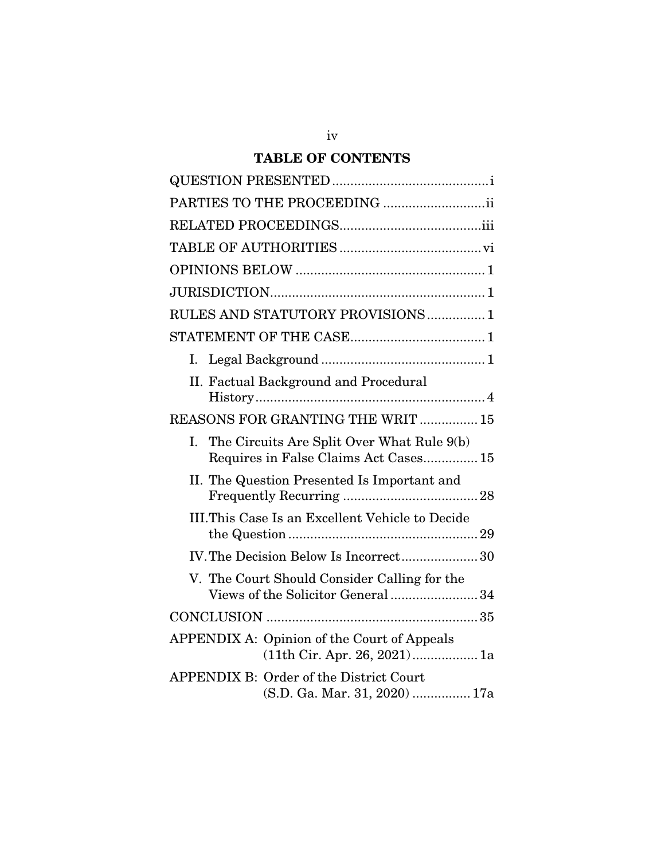# TABLE OF CONTENTS

| PARTIES TO THE PROCEEDING ii                                                              |
|-------------------------------------------------------------------------------------------|
|                                                                                           |
|                                                                                           |
|                                                                                           |
|                                                                                           |
| RULES AND STATUTORY PROVISIONS 1                                                          |
|                                                                                           |
| Ι.                                                                                        |
| II. Factual Background and Procedural                                                     |
| REASONS FOR GRANTING THE WRIT  15                                                         |
| The Circuits Are Split Over What Rule 9(b)<br>Ι.<br>Requires in False Claims Act Cases 15 |
| II. The Question Presented Is Important and                                               |
| III.This Case Is an Excellent Vehicle to Decide                                           |
| IV. The Decision Below Is Incorrect 30                                                    |
| V. The Court Should Consider Calling for the<br>Views of the Solicitor General 34         |
|                                                                                           |
| <b>APPENDIX A: Opinion of the Court of Appeals</b><br>$(11th$ Cir. Apr. 26, 2021)1a       |
| <b>APPENDIX B: Order of the District Court</b><br>(S.D. Ga. Mar. 31, 2020)  17a           |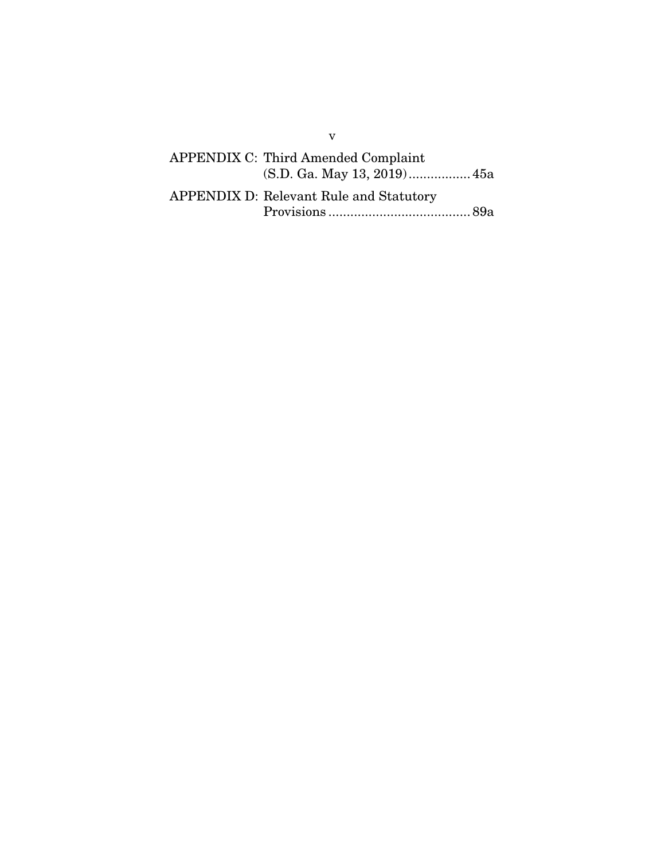# APPENDIX C: Third Amended Complaint (S.D. Ga. May 13, 2019) ................. 45a APPENDIX D: Relevant Rule and Statutory Provisions ....................................... 89a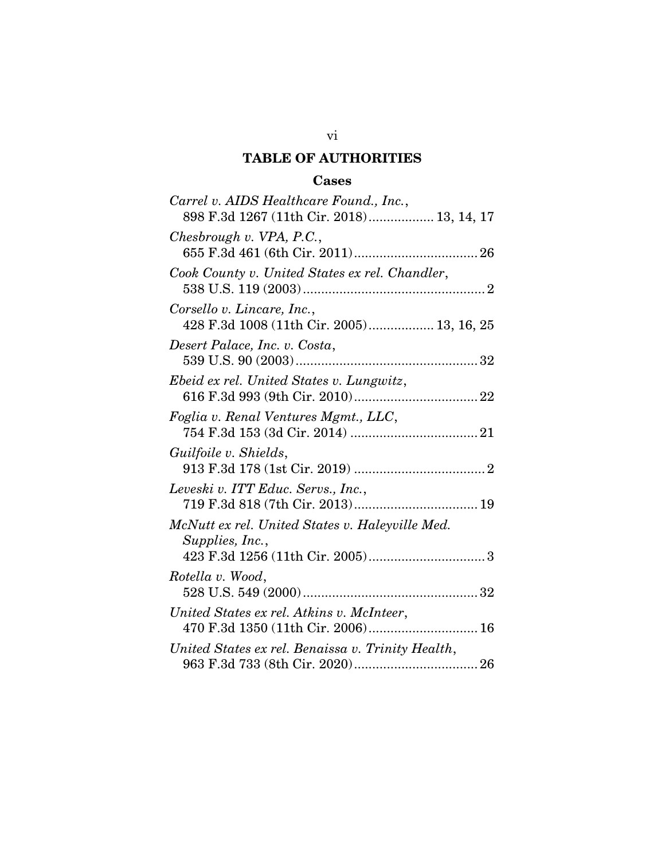# TABLE OF AUTHORITIES

## Cases

<span id="page-6-0"></span>

| Carrel v. AIDS Healthcare Found., Inc.,<br>898 F.3d 1267 (11th Cir. 2018) 13, 14, 17 |
|--------------------------------------------------------------------------------------|
| Chesbrough $v$ . VPA, P.C.,                                                          |
| Cook County v. United States ex rel. Chandler,                                       |
| Corsello v. Lincare, Inc.,<br>428 F.3d 1008 (11th Cir. 2005) 13, 16, 25              |
| Desert Palace, Inc. v. Costa,                                                        |
| Ebeid ex rel. United States v. Lungwitz,                                             |
| Foglia v. Renal Ventures Mgmt., LLC,                                                 |
| Guilfoile v. Shields,                                                                |
| Leveski v. ITT Educ. Servs., Inc.,                                                   |
| McNutt ex rel. United States v. Haleyville Med.<br>Supplies, Inc.,                   |
| Rotella v. Wood,                                                                     |
| United States ex rel. Atkins v. McInteer,<br>470 F.3d 1350 (11th Cir. 2006) 16       |
| United States ex rel. Benaissa v. Trinity Health,                                    |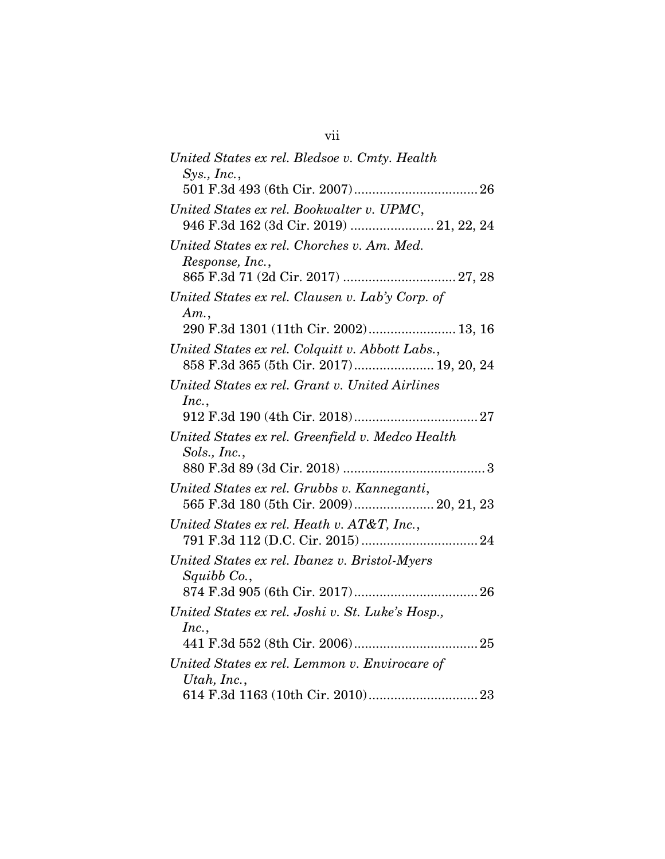| United States ex rel. Bledsoe v. Cmty. Health                                        |
|--------------------------------------------------------------------------------------|
| Sys., Inc.,                                                                          |
| United States ex rel. Bookwalter v. UPMC,<br>946 F.3d 162 (3d Cir. 2019)  21, 22, 24 |
| United States ex rel. Chorches v. Am. Med.<br>Response, Inc.,                        |
| United States ex rel. Clausen v. Lab'y Corp. of<br>Am.                               |
| 290 F.3d 1301 (11th Cir. 2002) 13, 16                                                |
| United States ex rel. Colquitt v. Abbott Labs.,                                      |
| United States ex rel. Grant v. United Airlines<br>Inc.,                              |
|                                                                                      |
| United States ex rel. Greenfield v. Medco Health<br>Sols., Inc.,                     |
| United States ex rel. Grubbs v. Kanneganti,                                          |
| United States ex rel. Heath v. AT&T, Inc.,                                           |
| United States ex rel. Ibanez v. Bristol-Myers<br>Squibb Co.,                         |
| United States ex rel. Joshi v. St. Luke's Hosp.,                                     |
| Inc.,                                                                                |
|                                                                                      |
| United States ex rel. Lemmon v. Envirocare of<br>Utah, Inc.,                         |
|                                                                                      |

vii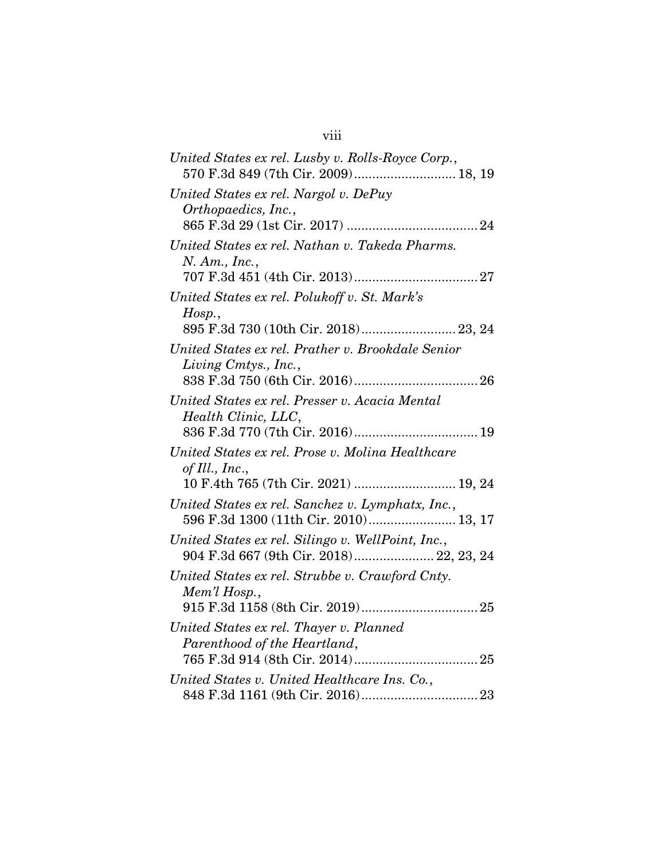| United States ex rel. Lusby v. Rolls-Royce Corp.,<br>570 F.3d 849 (7th Cir. 2009) 18, 19                   |
|------------------------------------------------------------------------------------------------------------|
| United States ex rel. Nargol v. DePuy<br>Orthopaedics, Inc.,                                               |
| United States ex rel. Nathan v. Takeda Pharms.<br>$N.$ Am., Inc.,                                          |
| United States ex rel. Polukoff v. St. Mark's<br>Hosp.<br>895 F.3d 730 (10th Cir. 2018) 23, 24              |
| United States ex rel. Prather v. Brookdale Senior<br>Living Cmtys., Inc.,                                  |
| United States ex rel. Presser v. Acacia Mental<br>Health Clinic, LLC,                                      |
| United States ex rel. Prose v. Molina Healthcare<br>of Ill., Inc.,<br>10 F.4th 765 (7th Cir. 2021)  19, 24 |
| United States ex rel. Sanchez v. Lymphatx, Inc.,<br>596 F.3d 1300 (11th Cir. 2010) 13, 17                  |
| United States ex rel. Silingo v. WellPoint, Inc.,<br>904 F.3d 667 (9th Cir. 2018) 22, 23, 24               |
| United States ex rel. Strubbe v. Crawford Cnty.<br>Mem'l Hosp.,                                            |
| United States ex rel. Thayer v. Planned<br>Parenthood of the Heartland,                                    |
| United States v. United Healthcare Ins. Co.,                                                               |

# viii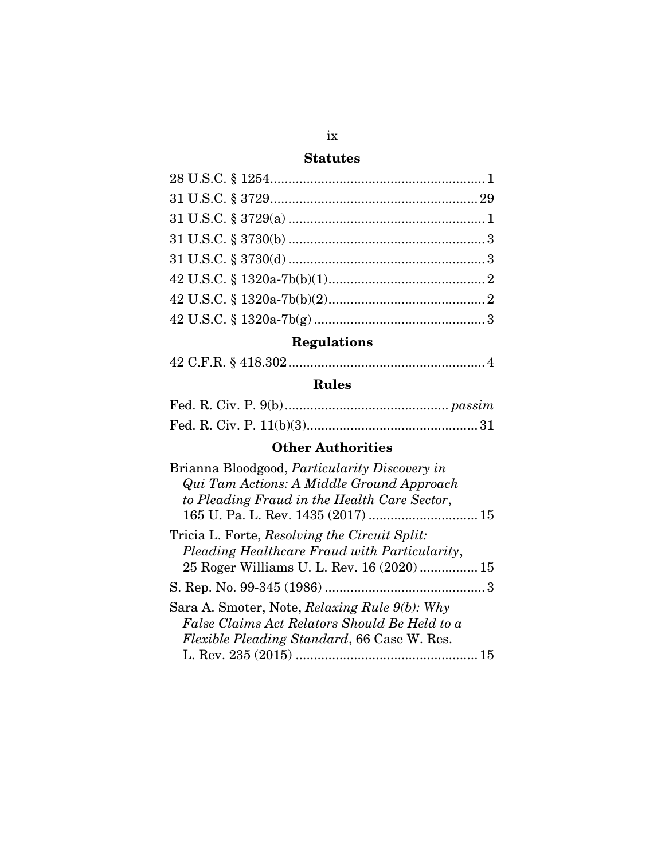## **Statutes**

# Regulations

|--|--|

# Rules

# Other Authorities

| Brianna Bloodgood, <i>Particularity Discovery in</i> |
|------------------------------------------------------|
| Qui Tam Actions: A Middle Ground Approach            |
| to Pleading Fraud in the Health Care Sector,         |
| 165 U. Pa. L. Rev. 1435 (2017)  15                   |
| Tricia L. Forte, Resolving the Circuit Split:        |
| Pleading Healthcare Fraud with Particularity,        |
| 25 Roger Williams U. L. Rev. 16 (2020) 15            |
|                                                      |
| Sara A. Smoter, Note, Relaxing Rule 9(b): Why        |
| False Claims Act Relators Should Be Held to a        |
| <i>Flexible Pleading Standard</i> , 66 Case W. Res.  |
| 15                                                   |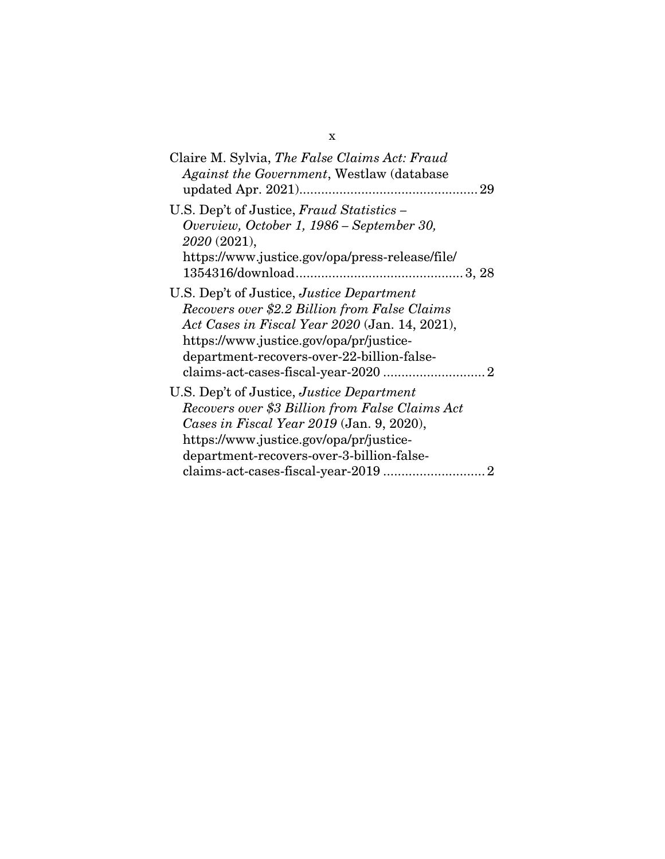| Claire M. Sylvia, The False Claims Act: Fraud<br>Against the Government, Westlaw (database)                                                                                                                                                                                                                                    |
|--------------------------------------------------------------------------------------------------------------------------------------------------------------------------------------------------------------------------------------------------------------------------------------------------------------------------------|
| U.S. Dep't of Justice, Fraud Statistics -<br>Overview, October 1, 1986 - September 30,<br>2020 (2021),<br>https://www.justice.gov/opa/press-release/file/                                                                                                                                                                      |
| U.S. Dep't of Justice, Justice Department<br>Recovers over \$2.2 Billion from False Claims<br>Act Cases in Fiscal Year 2020 (Jan. 14, 2021),<br>https://www.justice.gov/opa/pr/justice-<br>department-recovers-over-22-billion-false-<br>$\text{claims-act-cases-fixed-year-2020} \dots \dots \dots \dots \dots \dots \dots 2$ |
| U.S. Dep't of Justice, Justice Department<br>Recovers over \$3 Billion from False Claims Act<br>Cases in Fiscal Year 2019 (Jan. 9, 2020),<br>https://www.justice.gov/opa/pr/justice-<br>department-recovers-over-3-billion-false-                                                                                              |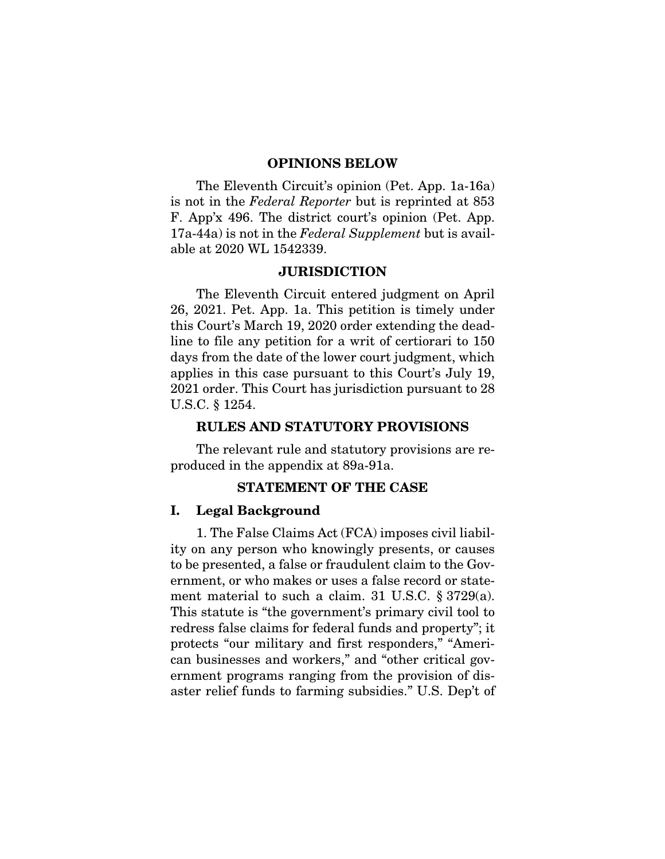#### OPINIONS BELOW

<span id="page-11-0"></span>The Eleventh Circuit's opinion (Pet. App. 1a-16a) is not in the *Federal Reporter* but is reprinted at 853 F. App'x 496. The district court's opinion (Pet. App. 17a-44a) is not in the *Federal Supplement* but is available at 2020 WL 1542339.

### JURISDICTION

<span id="page-11-1"></span>The Eleventh Circuit entered judgment on April 26, 2021. Pet. App. 1a. This petition is timely under this Court's March 19, 2020 order extending the deadline to file any petition for a writ of certiorari to 150 days from the date of the lower court judgment, which applies in this case pursuant to this Court's July 19, 2021 order. This Court has jurisdiction pursuant to 28 U.S.C. § 1254.

#### <span id="page-11-2"></span>RULES AND STATUTORY PROVISIONS

The relevant rule and statutory provisions are reproduced in the appendix at 89a-91a.

#### STATEMENT OF THE CASE

#### <span id="page-11-4"></span><span id="page-11-3"></span>I. Legal Background

1. The False Claims Act (FCA) imposes civil liability on any person who knowingly presents, or causes to be presented, a false or fraudulent claim to the Government, or who makes or uses a false record or statement material to such a claim. 31 U.S.C. § 3729(a). This statute is "the government's primary civil tool to redress false claims for federal funds and property"; it protects "our military and first responders," "American businesses and workers," and "other critical government programs ranging from the provision of disaster relief funds to farming subsidies." U.S. Dep't of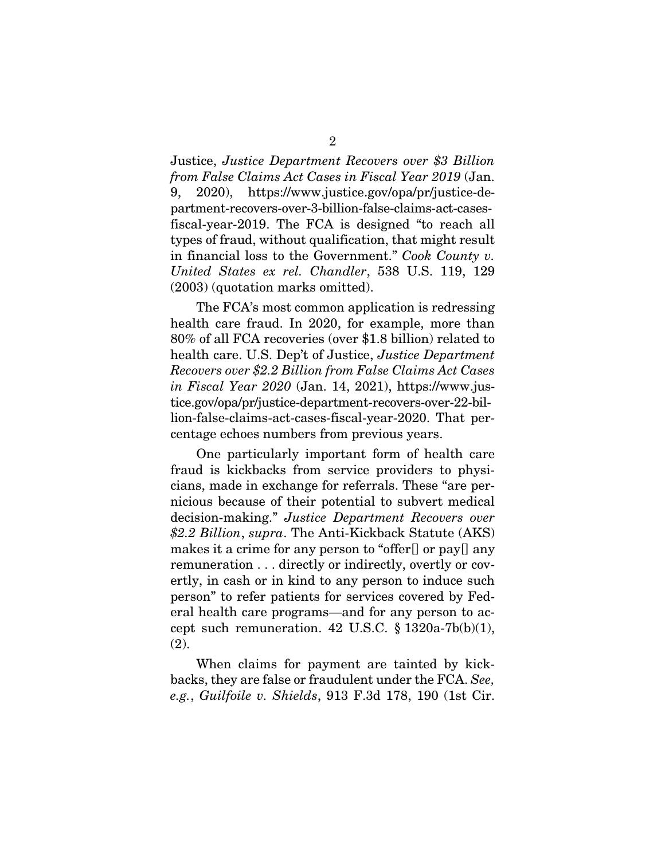Justice, *Justice Department Recovers over \$3 Billion from False Claims Act Cases in Fiscal Year 2019* (Jan. 9, 2020), https://www.justice.gov/opa/pr/justice-department-recovers-over-3-billion-false-claims-act-casesfiscal-year-2019. The FCA is designed "to reach all types of fraud, without qualification, that might result in financial loss to the Government." *Cook County v. United States ex rel. Chandler*, 538 U.S. 119, 129 (2003) (quotation marks omitted).

The FCA's most common application is redressing health care fraud. In 2020, for example, more than 80% of all FCA recoveries (over \$1.8 billion) related to health care. U.S. Dep't of Justice, *Justice Department Recovers over \$2.2 Billion from False Claims Act Cases in Fiscal Year 2020* (Jan. 14, 2021), https://www.justice.gov/opa/pr/justice-department-recovers-over-22-billion-false-claims-act-cases-fiscal-year-2020. That percentage echoes numbers from previous years.

One particularly important form of health care fraud is kickbacks from service providers to physicians, made in exchange for referrals. These "are pernicious because of their potential to subvert medical decision-making." *Justice Department Recovers over \$2.2 Billion*, *supra*. The Anti-Kickback Statute (AKS) makes it a crime for any person to "offer[] or pay[] any remuneration . . . directly or indirectly, overtly or covertly, in cash or in kind to any person to induce such person" to refer patients for services covered by Federal health care programs—and for any person to accept such remuneration. 42 U.S.C.  $\S$  1320a-7b(b)(1), (2).

When claims for payment are tainted by kickbacks, they are false or fraudulent under the FCA. *See, e.g.*, *Guilfoile v. Shields*, 913 F.3d 178, 190 (1st Cir.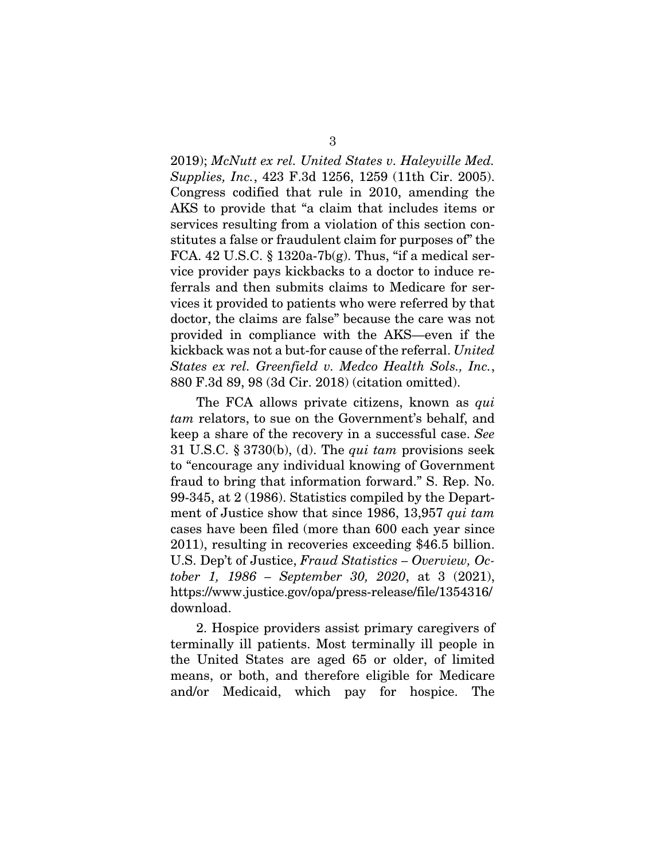2019); *McNutt ex rel. United States v. Haleyville Med. Supplies, Inc.*, 423 F.3d 1256, 1259 (11th Cir. 2005). Congress codified that rule in 2010, amending the AKS to provide that "a claim that includes items or services resulting from a violation of this section constitutes a false or fraudulent claim for purposes of" the FCA. 42 U.S.C.  $\S 1320a-7b(g)$ . Thus, "if a medical service provider pays kickbacks to a doctor to induce referrals and then submits claims to Medicare for services it provided to patients who were referred by that doctor, the claims are false" because the care was not provided in compliance with the AKS—even if the kickback was not a but-for cause of the referral. *United States ex rel. Greenfield v. Medco Health Sols., Inc.*, 880 F.3d 89, 98 (3d Cir. 2018) (citation omitted).

The FCA allows private citizens, known as *qui tam* relators, to sue on the Government's behalf, and keep a share of the recovery in a successful case. *See* 31 U.S.C. § 3730(b), (d). The *qui tam* provisions seek to "encourage any individual knowing of Government fraud to bring that information forward." S. Rep. No. 99-345, at 2 (1986). Statistics compiled by the Department of Justice show that since 1986, 13,957 *qui tam* cases have been filed (more than 600 each year since 2011), resulting in recoveries exceeding \$46.5 billion. U.S. Dep't of Justice, *Fraud Statistics – Overview, October 1, 1986 – September 30, 2020*, at 3 (2021), https://www.justice.gov/opa/press-release/file/1354316/ download.

2. Hospice providers assist primary caregivers of terminally ill patients. Most terminally ill people in the United States are aged 65 or older, of limited means, or both, and therefore eligible for Medicare and/or Medicaid, which pay for hospice. The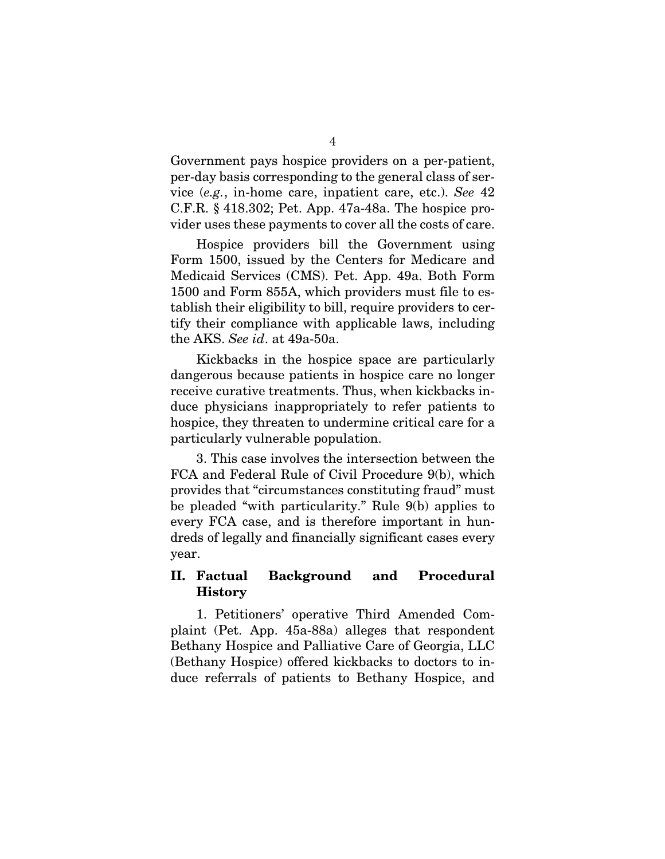Government pays hospice providers on a per-patient, per-day basis corresponding to the general class of service (*e.g.*, in-home care, inpatient care, etc.). *See* 42 C.F.R. § 418.302; Pet. App. 47a-48a. The hospice provider uses these payments to cover all the costs of care.

Hospice providers bill the Government using Form 1500, issued by the Centers for Medicare and Medicaid Services (CMS). Pet. App. 49a. Both Form 1500 and Form 855A, which providers must file to establish their eligibility to bill, require providers to certify their compliance with applicable laws, including the AKS. *See id*. at 49a-50a.

Kickbacks in the hospice space are particularly dangerous because patients in hospice care no longer receive curative treatments. Thus, when kickbacks induce physicians inappropriately to refer patients to hospice, they threaten to undermine critical care for a particularly vulnerable population.

3. This case involves the intersection between the FCA and Federal Rule of Civil Procedure 9(b), which provides that "circumstances constituting fraud" must be pleaded "with particularity." Rule 9(b) applies to every FCA case, and is therefore important in hundreds of legally and financially significant cases every year.

### <span id="page-14-0"></span>II. Factual Background and Procedural **History**

1. Petitioners' operative Third Amended Complaint (Pet. App. 45a-88a) alleges that respondent Bethany Hospice and Palliative Care of Georgia, LLC (Bethany Hospice) offered kickbacks to doctors to induce referrals of patients to Bethany Hospice, and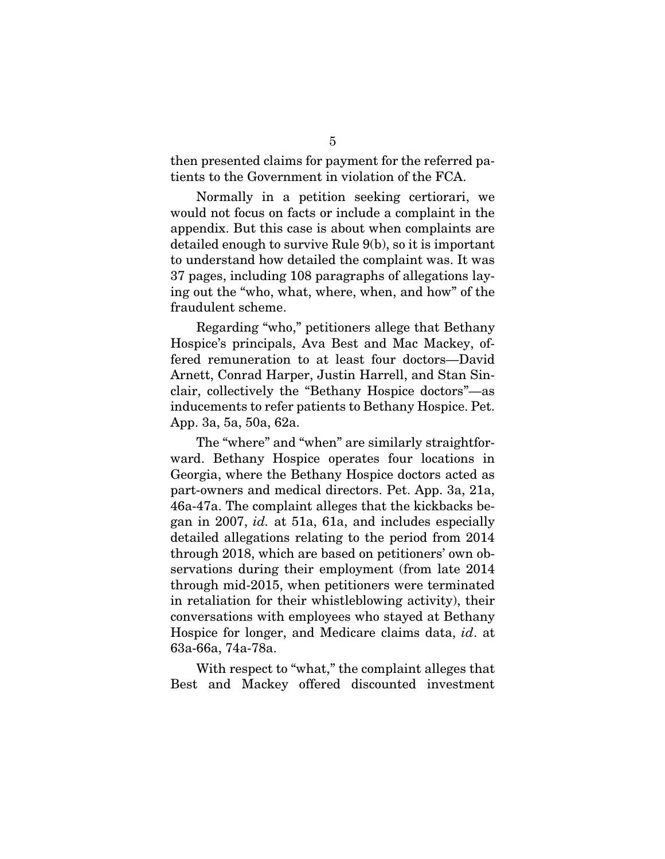then presented claims for payment for the referred patients to the Government in violation of the FCA.

Normally in a petition seeking certiorari, we would not focus on facts or include a complaint in the appendix. But this case is about when complaints are detailed enough to survive Rule 9(b), so it is important to understand how detailed the complaint was. It was 37 pages, including 108 paragraphs of allegations laying out the "who, what, where, when, and how" of the fraudulent scheme.

Regarding "who," petitioners allege that Bethany Hospice's principals, Ava Best and Mac Mackey, offered remuneration to at least four doctors—David Arnett, Conrad Harper, Justin Harrell, and Stan Sinclair, collectively the "Bethany Hospice doctors"—as inducements to refer patients to Bethany Hospice. Pet. App. 3a, 5a, 50a, 62a.

The "where" and "when" are similarly straightforward. Bethany Hospice operates four locations in Georgia, where the Bethany Hospice doctors acted as part-owners and medical directors. Pet. App. 3a, 21a, 46a-47a. The complaint alleges that the kickbacks began in 2007, *id.* at 51a, 61a, and includes especially detailed allegations relating to the period from 2014 through 2018, which are based on petitioners' own observations during their employment (from late 2014 through mid-2015, when petitioners were terminated in retaliation for their whistleblowing activity), their conversations with employees who stayed at Bethany Hospice for longer, and Medicare claims data, *id*. at 63a-66a, 74a-78a.

With respect to "what," the complaint alleges that Best and Mackey offered discounted investment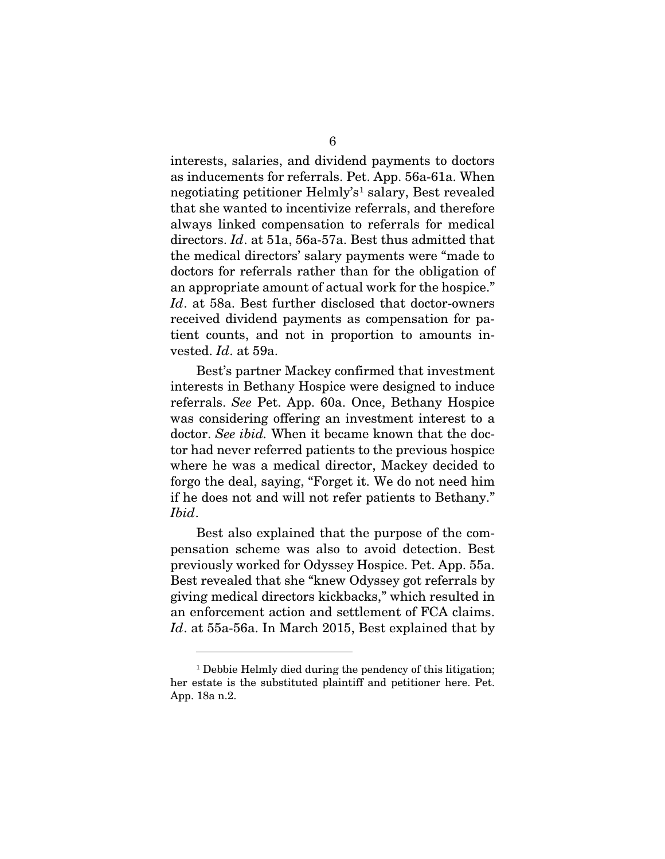interests, salaries, and dividend payments to doctors as inducements for referrals. Pet. App. 56a-61a. When negotiating petitioner Helmly's<sup>[1](#page-16-0)</sup> salary, Best revealed that she wanted to incentivize referrals, and therefore always linked compensation to referrals for medical directors. *Id*. at 51a, 56a-57a. Best thus admitted that the medical directors' salary payments were "made to doctors for referrals rather than for the obligation of an appropriate amount of actual work for the hospice." *Id*. at 58a. Best further disclosed that doctor-owners received dividend payments as compensation for patient counts, and not in proportion to amounts invested. *Id*. at 59a.

Best's partner Mackey confirmed that investment interests in Bethany Hospice were designed to induce referrals. *See* Pet. App. 60a. Once, Bethany Hospice was considering offering an investment interest to a doctor. *See ibid.* When it became known that the doctor had never referred patients to the previous hospice where he was a medical director, Mackey decided to forgo the deal, saying, "Forget it. We do not need him if he does not and will not refer patients to Bethany." *Ibid*.

Best also explained that the purpose of the compensation scheme was also to avoid detection. Best previously worked for Odyssey Hospice. Pet. App. 55a. Best revealed that she "knew Odyssey got referrals by giving medical directors kickbacks," which resulted in an enforcement action and settlement of FCA claims. *Id*. at 55a-56a. In March 2015, Best explained that by

<span id="page-16-0"></span><sup>&</sup>lt;sup>1</sup> Debbie Helmly died during the pendency of this litigation; her estate is the substituted plaintiff and petitioner here. Pet. App. 18a n.2.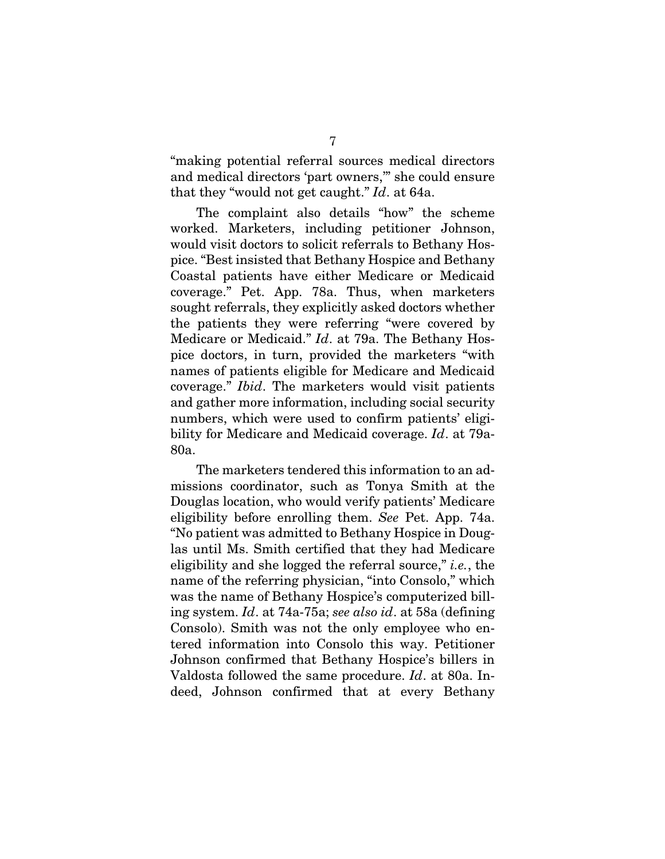"making potential referral sources medical directors and medical directors 'part owners,'" she could ensure that they "would not get caught." *Id*. at 64a.

The complaint also details "how" the scheme worked. Marketers, including petitioner Johnson, would visit doctors to solicit referrals to Bethany Hospice. "Best insisted that Bethany Hospice and Bethany Coastal patients have either Medicare or Medicaid coverage." Pet. App. 78a. Thus, when marketers sought referrals, they explicitly asked doctors whether the patients they were referring "were covered by Medicare or Medicaid." *Id*. at 79a. The Bethany Hospice doctors, in turn, provided the marketers "with names of patients eligible for Medicare and Medicaid coverage." *Ibid*. The marketers would visit patients and gather more information, including social security numbers, which were used to confirm patients' eligibility for Medicare and Medicaid coverage. *Id*. at 79a-80a.

The marketers tendered this information to an admissions coordinator, such as Tonya Smith at the Douglas location, who would verify patients' Medicare eligibility before enrolling them. *See* Pet. App. 74a. "No patient was admitted to Bethany Hospice in Douglas until Ms. Smith certified that they had Medicare eligibility and she logged the referral source," *i.e.*, the name of the referring physician, "into Consolo," which was the name of Bethany Hospice's computerized billing system. *Id*. at 74a-75a; *see also id*. at 58a (defining Consolo). Smith was not the only employee who entered information into Consolo this way. Petitioner Johnson confirmed that Bethany Hospice's billers in Valdosta followed the same procedure. *Id*. at 80a. Indeed, Johnson confirmed that at every Bethany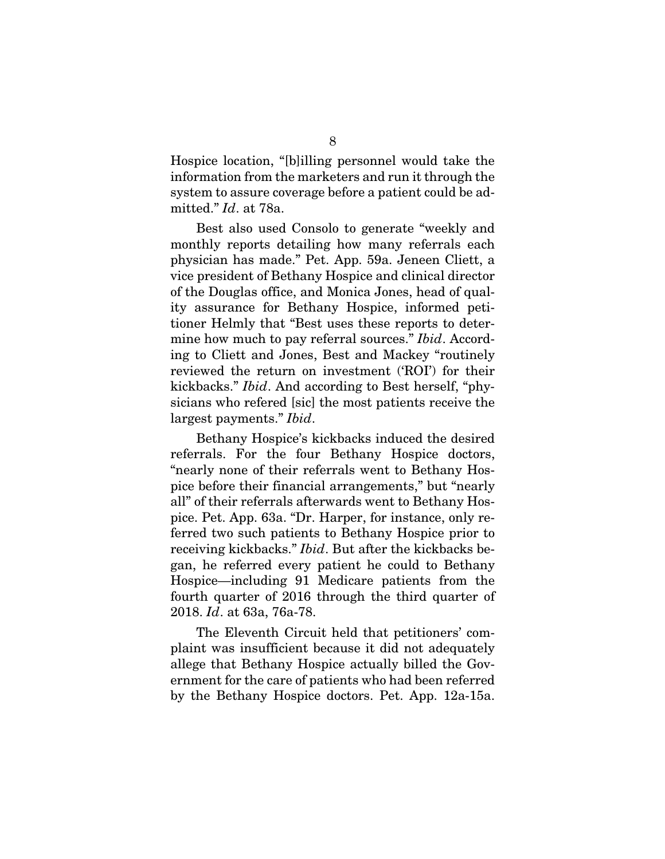Hospice location, "[b]illing personnel would take the information from the marketers and run it through the system to assure coverage before a patient could be admitted." *Id*. at 78a.

Best also used Consolo to generate "weekly and monthly reports detailing how many referrals each physician has made." Pet. App. 59a. Jeneen Cliett, a vice president of Bethany Hospice and clinical director of the Douglas office, and Monica Jones, head of quality assurance for Bethany Hospice, informed petitioner Helmly that "Best uses these reports to determine how much to pay referral sources." *Ibid*. According to Cliett and Jones, Best and Mackey "routinely reviewed the return on investment ('ROI') for their kickbacks." *Ibid*. And according to Best herself, "physicians who refered [sic] the most patients receive the largest payments." *Ibid*.

Bethany Hospice's kickbacks induced the desired referrals. For the four Bethany Hospice doctors, "nearly none of their referrals went to Bethany Hospice before their financial arrangements," but "nearly all" of their referrals afterwards went to Bethany Hospice. Pet. App. 63a. "Dr. Harper, for instance, only referred two such patients to Bethany Hospice prior to receiving kickbacks." *Ibid*. But after the kickbacks began, he referred every patient he could to Bethany Hospice—including 91 Medicare patients from the fourth quarter of 2016 through the third quarter of 2018. *Id*. at 63a, 76a-78.

The Eleventh Circuit held that petitioners' complaint was insufficient because it did not adequately allege that Bethany Hospice actually billed the Government for the care of patients who had been referred by the Bethany Hospice doctors. Pet. App. 12a-15a.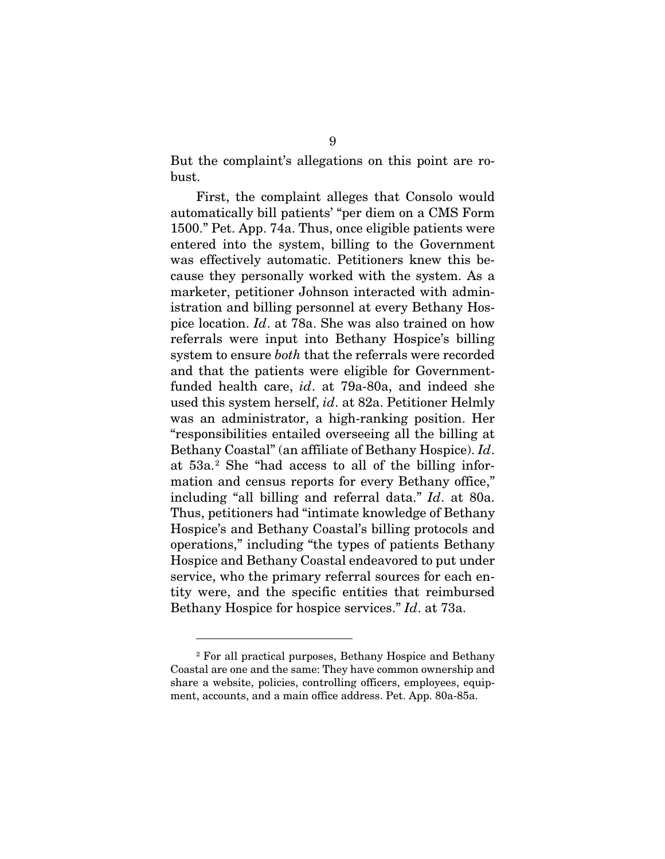But the complaint's allegations on this point are robust.

First, the complaint alleges that Consolo would automatically bill patients' "per diem on a CMS Form 1500." Pet. App. 74a. Thus, once eligible patients were entered into the system, billing to the Government was effectively automatic. Petitioners knew this because they personally worked with the system. As a marketer, petitioner Johnson interacted with administration and billing personnel at every Bethany Hospice location. *Id*. at 78a. She was also trained on how referrals were input into Bethany Hospice's billing system to ensure *both* that the referrals were recorded and that the patients were eligible for Governmentfunded health care, *id*. at 79a-80a, and indeed she used this system herself, *id*. at 82a. Petitioner Helmly was an administrator, a high-ranking position. Her "responsibilities entailed overseeing all the billing at Bethany Coastal" (an affiliate of Bethany Hospice). *Id*. at 53a.[2](#page-19-0) She "had access to all of the billing information and census reports for every Bethany office," including "all billing and referral data." *Id*. at 80a. Thus, petitioners had "intimate knowledge of Bethany Hospice's and Bethany Coastal's billing protocols and operations," including "the types of patients Bethany Hospice and Bethany Coastal endeavored to put under service, who the primary referral sources for each entity were, and the specific entities that reimbursed Bethany Hospice for hospice services." *Id*. at 73a.

<span id="page-19-0"></span><sup>2</sup> For all practical purposes, Bethany Hospice and Bethany Coastal are one and the same: They have common ownership and share a website, policies, controlling officers, employees, equipment, accounts, and a main office address. Pet. App. 80a-85a.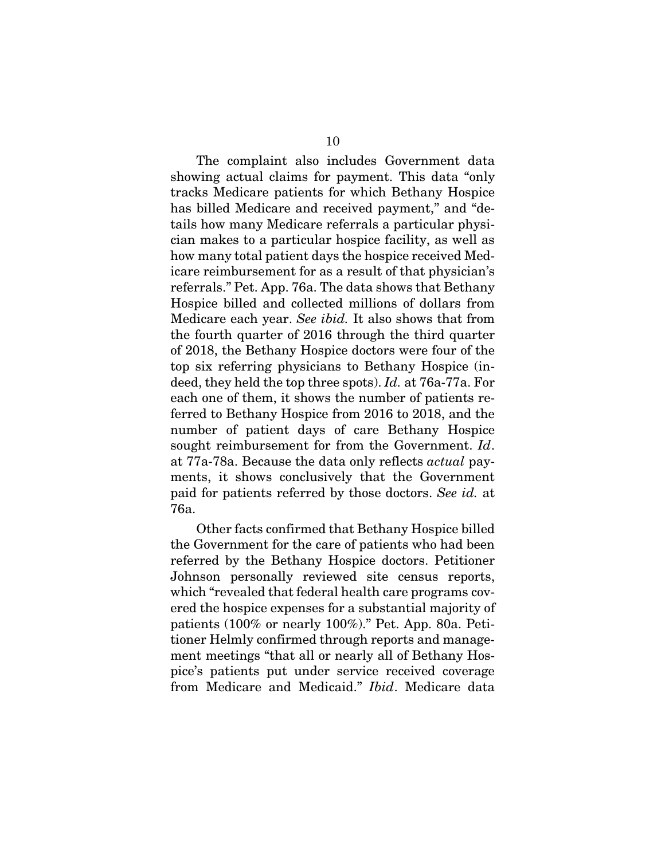The complaint also includes Government data showing actual claims for payment. This data "only tracks Medicare patients for which Bethany Hospice has billed Medicare and received payment," and "details how many Medicare referrals a particular physician makes to a particular hospice facility, as well as how many total patient days the hospice received Medicare reimbursement for as a result of that physician's referrals." Pet. App. 76a. The data shows that Bethany Hospice billed and collected millions of dollars from Medicare each year. *See ibid.* It also shows that from the fourth quarter of 2016 through the third quarter of 2018, the Bethany Hospice doctors were four of the top six referring physicians to Bethany Hospice (indeed, they held the top three spots). *Id.* at 76a-77a. For each one of them, it shows the number of patients referred to Bethany Hospice from 2016 to 2018, and the number of patient days of care Bethany Hospice sought reimbursement for from the Government. *Id*. at 77a-78a. Because the data only reflects *actual* payments, it shows conclusively that the Government paid for patients referred by those doctors. *See id.* at 76a.

Other facts confirmed that Bethany Hospice billed the Government for the care of patients who had been referred by the Bethany Hospice doctors. Petitioner Johnson personally reviewed site census reports, which "revealed that federal health care programs covered the hospice expenses for a substantial majority of patients (100% or nearly 100%)." Pet. App. 80a. Petitioner Helmly confirmed through reports and management meetings "that all or nearly all of Bethany Hospice's patients put under service received coverage from Medicare and Medicaid." *Ibid*. Medicare data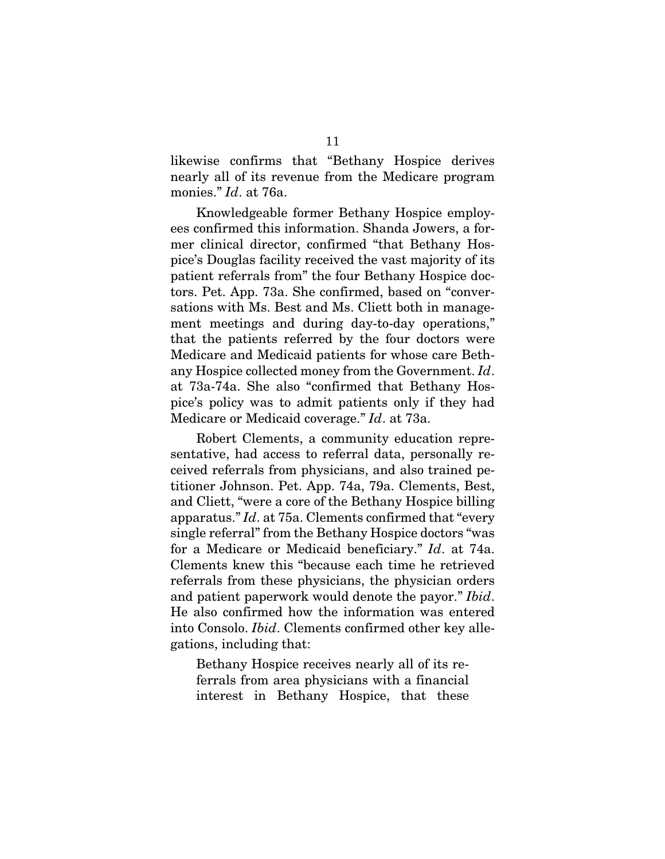likewise confirms that "Bethany Hospice derives nearly all of its revenue from the Medicare program monies." *Id*. at 76a.

Knowledgeable former Bethany Hospice employees confirmed this information. Shanda Jowers, a former clinical director, confirmed "that Bethany Hospice's Douglas facility received the vast majority of its patient referrals from" the four Bethany Hospice doctors. Pet. App. 73a. She confirmed, based on "conversations with Ms. Best and Ms. Cliett both in management meetings and during day-to-day operations," that the patients referred by the four doctors were Medicare and Medicaid patients for whose care Bethany Hospice collected money from the Government. *Id*. at 73a-74a. She also "confirmed that Bethany Hospice's policy was to admit patients only if they had Medicare or Medicaid coverage." *Id*. at 73a.

Robert Clements, a community education representative, had access to referral data, personally received referrals from physicians, and also trained petitioner Johnson. Pet. App. 74a, 79a. Clements, Best, and Cliett, "were a core of the Bethany Hospice billing apparatus." *Id*. at 75a. Clements confirmed that "every single referral" from the Bethany Hospice doctors "was for a Medicare or Medicaid beneficiary." *Id*. at 74a. Clements knew this "because each time he retrieved referrals from these physicians, the physician orders and patient paperwork would denote the payor." *Ibid*. He also confirmed how the information was entered into Consolo. *Ibid*. Clements confirmed other key allegations, including that:

Bethany Hospice receives nearly all of its referrals from area physicians with a financial interest in Bethany Hospice, that these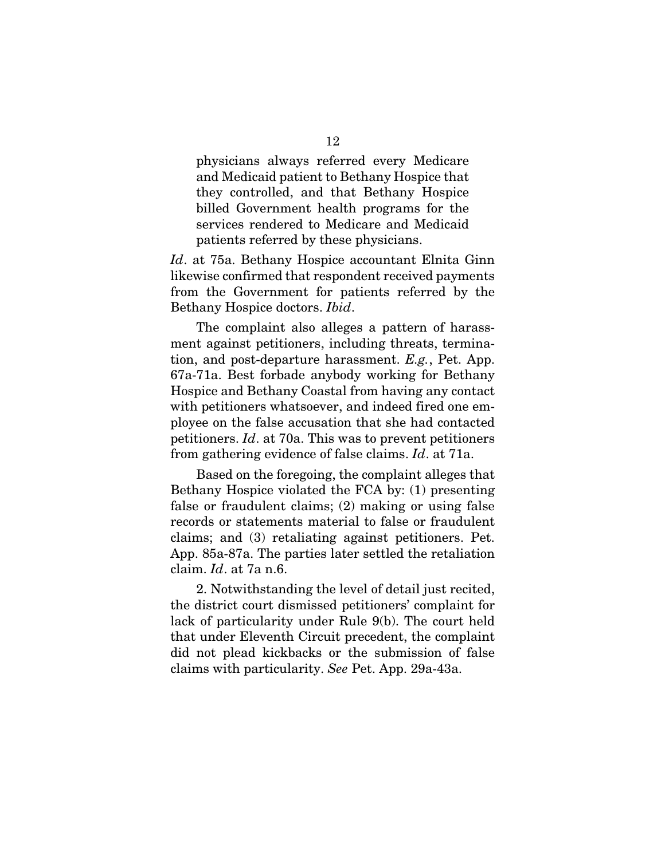physicians always referred every Medicare and Medicaid patient to Bethany Hospice that they controlled, and that Bethany Hospice billed Government health programs for the services rendered to Medicare and Medicaid patients referred by these physicians.

*Id*. at 75a. Bethany Hospice accountant Elnita Ginn likewise confirmed that respondent received payments from the Government for patients referred by the Bethany Hospice doctors. *Ibid*.

The complaint also alleges a pattern of harassment against petitioners, including threats, termination, and post-departure harassment. *E.g.*, Pet. App. 67a-71a. Best forbade anybody working for Bethany Hospice and Bethany Coastal from having any contact with petitioners whatsoever, and indeed fired one employee on the false accusation that she had contacted petitioners. *Id*. at 70a. This was to prevent petitioners from gathering evidence of false claims. *Id*. at 71a.

Based on the foregoing, the complaint alleges that Bethany Hospice violated the FCA by: (1) presenting false or fraudulent claims; (2) making or using false records or statements material to false or fraudulent claims; and (3) retaliating against petitioners. Pet. App. 85a-87a. The parties later settled the retaliation claim. *Id*. at 7a n.6.

2. Notwithstanding the level of detail just recited, the district court dismissed petitioners' complaint for lack of particularity under Rule 9(b). The court held that under Eleventh Circuit precedent, the complaint did not plead kickbacks or the submission of false claims with particularity. *See* Pet. App. 29a-43a.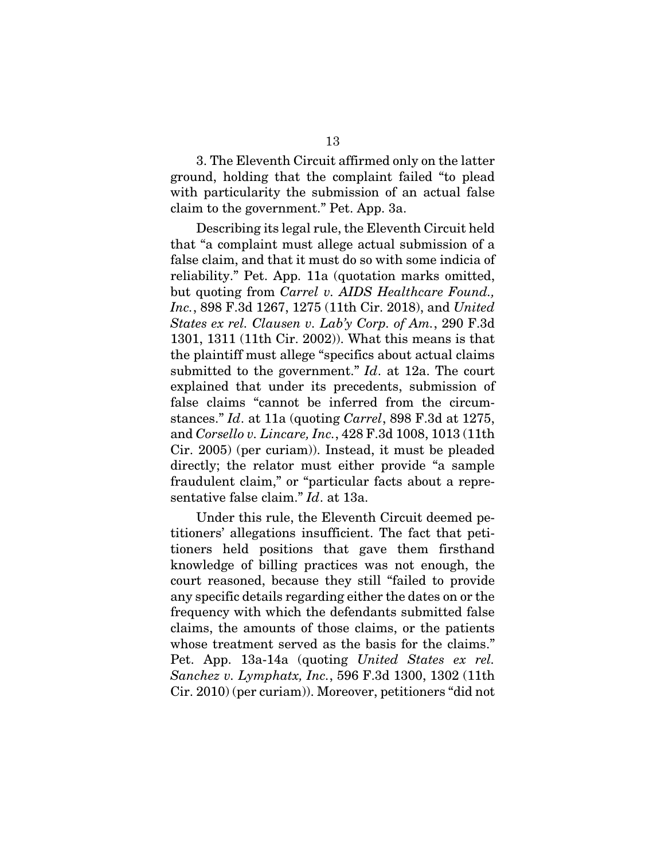3. The Eleventh Circuit affirmed only on the latter ground, holding that the complaint failed "to plead with particularity the submission of an actual false claim to the government." Pet. App. 3a.

Describing its legal rule, the Eleventh Circuit held that "a complaint must allege actual submission of a false claim, and that it must do so with some indicia of reliability." Pet. App. 11a (quotation marks omitted, but quoting from *Carrel v. AIDS Healthcare Found., Inc.*, 898 F.3d 1267, 1275 (11th Cir. 2018), and *United States ex rel. Clausen v. Lab'y Corp. of Am.*, 290 F.3d 1301, 1311 (11th Cir. 2002)). What this means is that the plaintiff must allege "specifics about actual claims submitted to the government." *Id*. at 12a. The court explained that under its precedents, submission of false claims "cannot be inferred from the circumstances." *Id*. at 11a (quoting *Carrel*, 898 F.3d at 1275, and *Corsello v. Lincare, Inc.*, 428 F.3d 1008, 1013 (11th Cir. 2005) (per curiam)). Instead, it must be pleaded directly; the relator must either provide "a sample fraudulent claim," or "particular facts about a representative false claim." *Id*. at 13a.

Under this rule, the Eleventh Circuit deemed petitioners' allegations insufficient. The fact that petitioners held positions that gave them firsthand knowledge of billing practices was not enough, the court reasoned, because they still "failed to provide any specific details regarding either the dates on or the frequency with which the defendants submitted false claims, the amounts of those claims, or the patients whose treatment served as the basis for the claims." Pet. App. 13a-14a (quoting *United States ex rel. Sanchez v. Lymphatx, Inc.*, 596 F.3d 1300, 1302 (11th Cir. 2010) (per curiam)). Moreover, petitioners "did not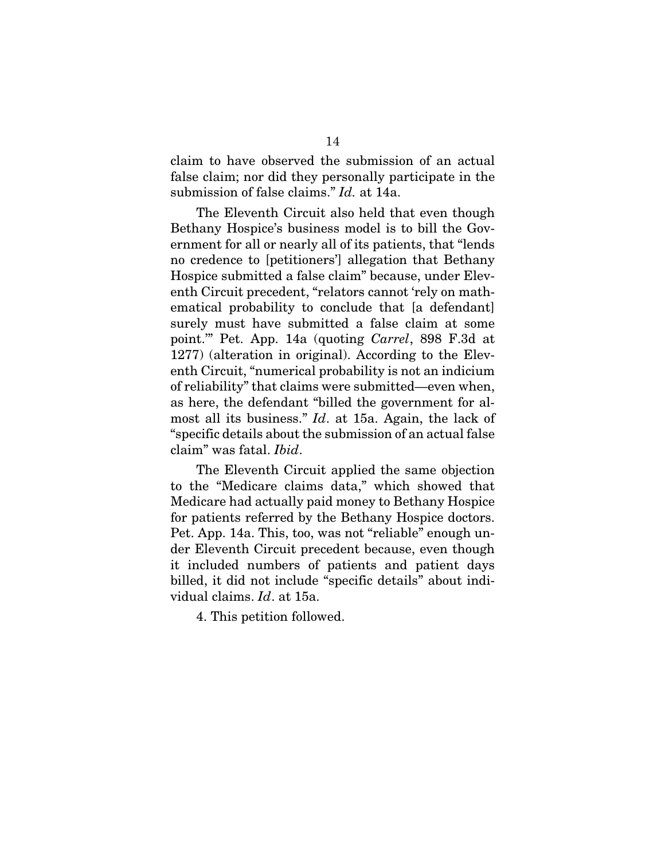claim to have observed the submission of an actual false claim; nor did they personally participate in the submission of false claims." *Id.* at 14a.

The Eleventh Circuit also held that even though Bethany Hospice's business model is to bill the Government for all or nearly all of its patients, that "lends no credence to [petitioners'] allegation that Bethany Hospice submitted a false claim" because, under Eleventh Circuit precedent, "relators cannot 'rely on mathematical probability to conclude that [a defendant] surely must have submitted a false claim at some point.'" Pet. App. 14a (quoting *Carrel*, 898 F.3d at 1277) (alteration in original). According to the Eleventh Circuit, "numerical probability is not an indicium of reliability" that claims were submitted—even when, as here, the defendant "billed the government for almost all its business." *Id*. at 15a. Again, the lack of "specific details about the submission of an actual false claim" was fatal. *Ibid*.

The Eleventh Circuit applied the same objection to the "Medicare claims data," which showed that Medicare had actually paid money to Bethany Hospice for patients referred by the Bethany Hospice doctors. Pet. App. 14a. This, too, was not "reliable" enough under Eleventh Circuit precedent because, even though it included numbers of patients and patient days billed, it did not include "specific details" about individual claims. *Id*. at 15a.

4. This petition followed.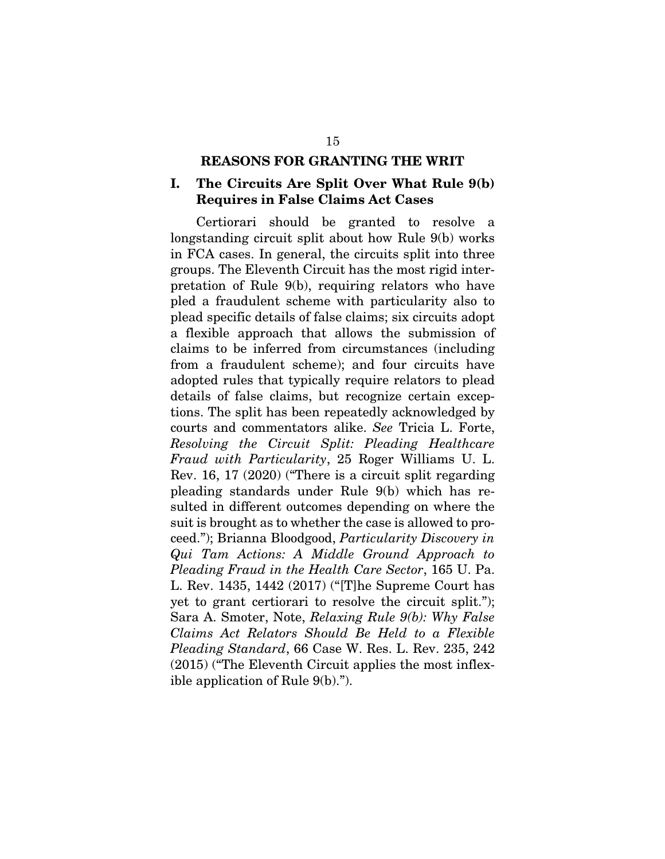#### REASONS FOR GRANTING THE WRIT

## <span id="page-25-1"></span><span id="page-25-0"></span>I. The Circuits Are Split Over What Rule 9(b) Requires in False Claims Act Cases

Certiorari should be granted to resolve a longstanding circuit split about how Rule 9(b) works in FCA cases. In general, the circuits split into three groups. The Eleventh Circuit has the most rigid interpretation of Rule 9(b), requiring relators who have pled a fraudulent scheme with particularity also to plead specific details of false claims; six circuits adopt a flexible approach that allows the submission of claims to be inferred from circumstances (including from a fraudulent scheme); and four circuits have adopted rules that typically require relators to plead details of false claims, but recognize certain exceptions. The split has been repeatedly acknowledged by courts and commentators alike. *See* Tricia L. Forte, *Resolving the Circuit Split: Pleading Healthcare Fraud with Particularity*, 25 Roger Williams U. L. Rev. 16, 17 (2020) ("There is a circuit split regarding pleading standards under Rule 9(b) which has resulted in different outcomes depending on where the suit is brought as to whether the case is allowed to proceed."); Brianna Bloodgood, *Particularity Discovery in Qui Tam Actions: A Middle Ground Approach to Pleading Fraud in the Health Care Sector*, 165 U. Pa. L. Rev. 1435, 1442 (2017) ("[T]he Supreme Court has yet to grant certiorari to resolve the circuit split."); Sara A. Smoter, Note, *Relaxing Rule 9(b): Why False Claims Act Relators Should Be Held to a Flexible Pleading Standard*, 66 Case W. Res. L. Rev. 235, 242 (2015) ("The Eleventh Circuit applies the most inflexible application of Rule 9(b).").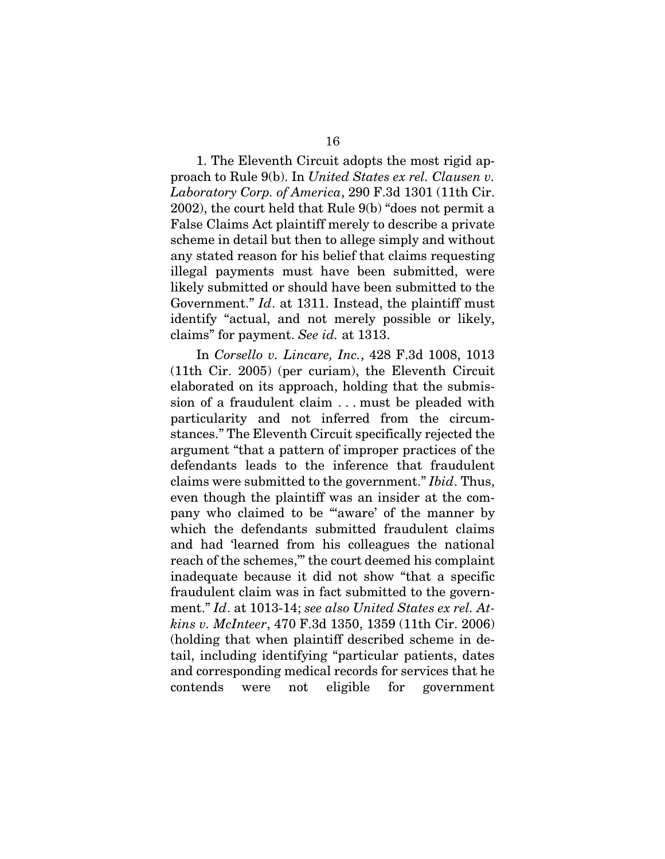1. The Eleventh Circuit adopts the most rigid approach to Rule 9(b). In *United States ex rel. Clausen v. Laboratory Corp. of America*, 290 F.3d 1301 (11th Cir. 2002), the court held that Rule 9(b) "does not permit a False Claims Act plaintiff merely to describe a private scheme in detail but then to allege simply and without any stated reason for his belief that claims requesting illegal payments must have been submitted, were likely submitted or should have been submitted to the Government." *Id*. at 1311. Instead, the plaintiff must identify "actual, and not merely possible or likely, claims" for payment. *See id.* at 1313.

In *Corsello v. Lincare, Inc.*, 428 F.3d 1008, 1013 (11th Cir. 2005) (per curiam), the Eleventh Circuit elaborated on its approach, holding that the submission of a fraudulent claim . . . must be pleaded with particularity and not inferred from the circumstances." The Eleventh Circuit specifically rejected the argument "that a pattern of improper practices of the defendants leads to the inference that fraudulent claims were submitted to the government." *Ibid*. Thus, even though the plaintiff was an insider at the company who claimed to be "'aware' of the manner by which the defendants submitted fraudulent claims and had 'learned from his colleagues the national reach of the schemes,'" the court deemed his complaint inadequate because it did not show "that a specific fraudulent claim was in fact submitted to the government." *Id*. at 1013-14; *see also United States ex rel. Atkins v. McInteer*, 470 F.3d 1350, 1359 (11th Cir. 2006) (holding that when plaintiff described scheme in detail, including identifying "particular patients, dates and corresponding medical records for services that he contends were not eligible for government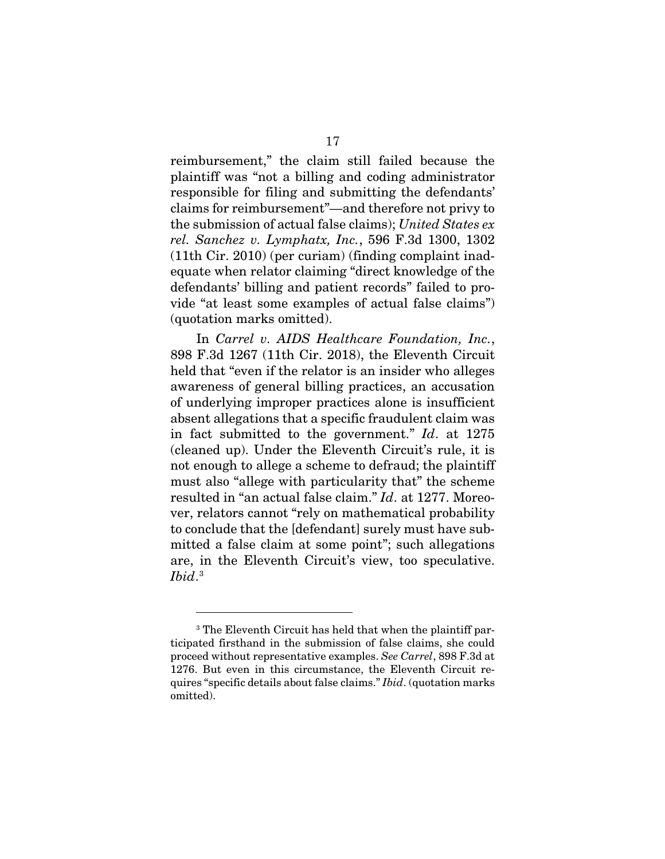reimbursement," the claim still failed because the plaintiff was "not a billing and coding administrator responsible for filing and submitting the defendants' claims for reimbursement"—and therefore not privy to the submission of actual false claims); *United States ex rel. Sanchez v. Lymphatx, Inc.*, 596 F.3d 1300, 1302 (11th Cir. 2010) (per curiam) (finding complaint inadequate when relator claiming "direct knowledge of the defendants' billing and patient records" failed to provide "at least some examples of actual false claims") (quotation marks omitted).

In *Carrel v. AIDS Healthcare Foundation, Inc.*, 898 F.3d 1267 (11th Cir. 2018), the Eleventh Circuit held that "even if the relator is an insider who alleges awareness of general billing practices, an accusation of underlying improper practices alone is insufficient absent allegations that a specific fraudulent claim was in fact submitted to the government." *Id*. at 1275 (cleaned up). Under the Eleventh Circuit's rule, it is not enough to allege a scheme to defraud; the plaintiff must also "allege with particularity that" the scheme resulted in "an actual false claim." *Id*. at 1277. Moreover, relators cannot "rely on mathematical probability to conclude that the [defendant] surely must have submitted a false claim at some point"; such allegations are, in the Eleventh Circuit's view, too speculative.  $\mathit{Ibid.}^3$  $\mathit{Ibid.}^3$ 

<span id="page-27-0"></span><sup>&</sup>lt;sup>3</sup> The Eleventh Circuit has held that when the plaintiff participated firsthand in the submission of false claims, she could proceed without representative examples. *See Carrel*, 898 F.3d at 1276. But even in this circumstance, the Eleventh Circuit requires "specific details about false claims." *Ibid*. (quotation marks omitted).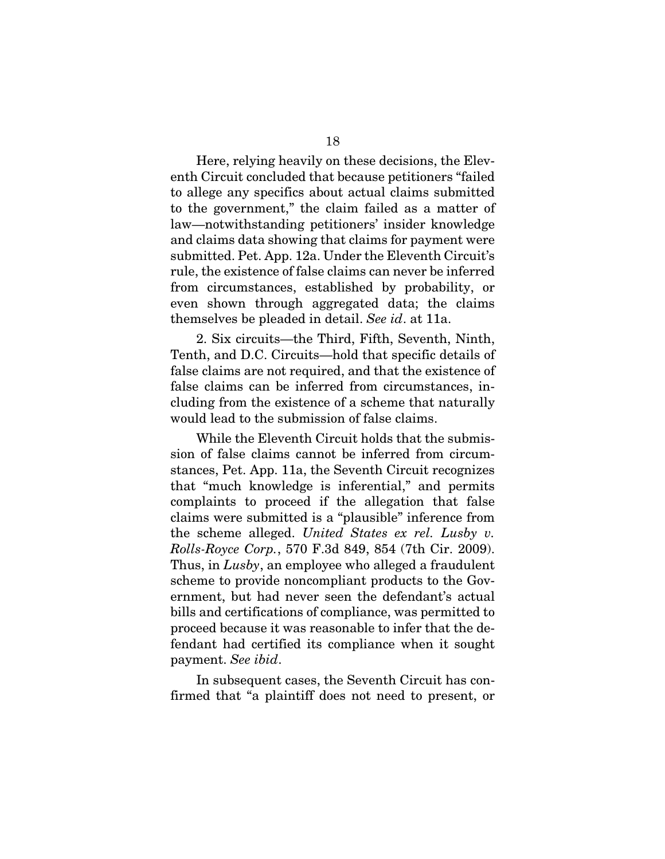Here, relying heavily on these decisions, the Eleventh Circuit concluded that because petitioners "failed to allege any specifics about actual claims submitted to the government," the claim failed as a matter of law—notwithstanding petitioners' insider knowledge and claims data showing that claims for payment were submitted. Pet. App. 12a. Under the Eleventh Circuit's rule, the existence of false claims can never be inferred from circumstances, established by probability, or even shown through aggregated data; the claims themselves be pleaded in detail. *See id*. at 11a.

2. Six circuits—the Third, Fifth, Seventh, Ninth, Tenth, and D.C. Circuits—hold that specific details of false claims are not required, and that the existence of false claims can be inferred from circumstances, including from the existence of a scheme that naturally would lead to the submission of false claims.

While the Eleventh Circuit holds that the submission of false claims cannot be inferred from circumstances, Pet. App. 11a, the Seventh Circuit recognizes that "much knowledge is inferential," and permits complaints to proceed if the allegation that false claims were submitted is a "plausible" inference from the scheme alleged. *United States ex rel. Lusby v. Rolls-Royce Corp.*, 570 F.3d 849, 854 (7th Cir. 2009). Thus, in *Lusby*, an employee who alleged a fraudulent scheme to provide noncompliant products to the Government, but had never seen the defendant's actual bills and certifications of compliance, was permitted to proceed because it was reasonable to infer that the defendant had certified its compliance when it sought payment. *See ibid*.

In subsequent cases, the Seventh Circuit has confirmed that "a plaintiff does not need to present, or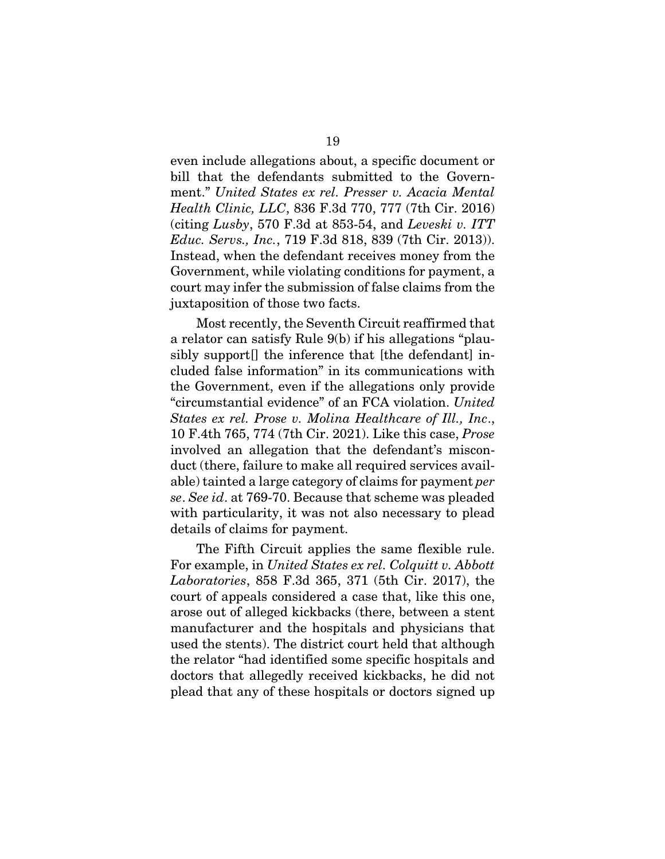even include allegations about, a specific document or bill that the defendants submitted to the Government." *United States ex rel. Presser v. Acacia Mental Health Clinic, LLC*, 836 F.3d 770, 777 (7th Cir. 2016) (citing *Lusby*, 570 F.3d at 853-54, and *Leveski v. ITT Educ. Servs., Inc.*, 719 F.3d 818, 839 (7th Cir. 2013)). Instead, when the defendant receives money from the Government, while violating conditions for payment, a court may infer the submission of false claims from the juxtaposition of those two facts.

Most recently, the Seventh Circuit reaffirmed that a relator can satisfy Rule 9(b) if his allegations "plausibly support<sup>[]</sup> the inference that [the defendant] included false information" in its communications with the Government, even if the allegations only provide "circumstantial evidence" of an FCA violation. *United States ex rel. Prose v. Molina Healthcare of Ill., Inc*., 10 F.4th 765, 774 (7th Cir. 2021). Like this case, *Prose* involved an allegation that the defendant's misconduct (there, failure to make all required services available) tainted a large category of claims for payment *per se*. *See id*. at 769-70. Because that scheme was pleaded with particularity, it was not also necessary to plead details of claims for payment.

The Fifth Circuit applies the same flexible rule. For example, in *United States ex rel. Colquitt v. Abbott Laboratories*, 858 F.3d 365, 371 (5th Cir. 2017), the court of appeals considered a case that, like this one, arose out of alleged kickbacks (there, between a stent manufacturer and the hospitals and physicians that used the stents). The district court held that although the relator "had identified some specific hospitals and doctors that allegedly received kickbacks, he did not plead that any of these hospitals or doctors signed up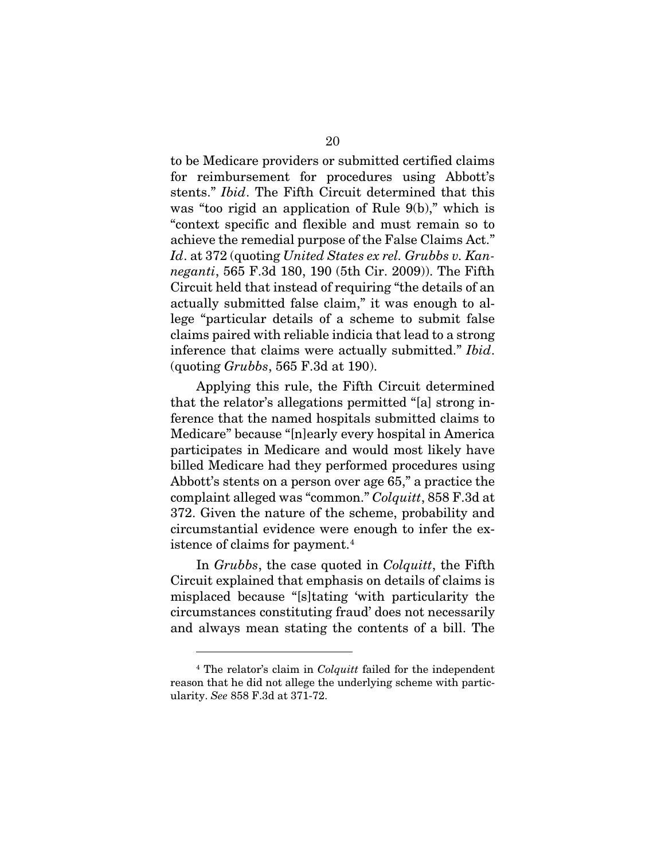to be Medicare providers or submitted certified claims for reimbursement for procedures using Abbott's stents." *Ibid*. The Fifth Circuit determined that this was "too rigid an application of Rule 9(b)," which is "context specific and flexible and must remain so to achieve the remedial purpose of the False Claims Act." *Id*. at 372 (quoting *United States ex rel. Grubbs v. Kanneganti*, 565 F.3d 180, 190 (5th Cir. 2009)). The Fifth Circuit held that instead of requiring "the details of an actually submitted false claim," it was enough to allege "particular details of a scheme to submit false claims paired with reliable indicia that lead to a strong inference that claims were actually submitted." *Ibid*. (quoting *Grubbs*, 565 F.3d at 190).

Applying this rule, the Fifth Circuit determined that the relator's allegations permitted "[a] strong inference that the named hospitals submitted claims to Medicare" because "[n]early every hospital in America participates in Medicare and would most likely have billed Medicare had they performed procedures using Abbott's stents on a person over age 65," a practice the complaint alleged was "common." *Colquitt*, 858 F.3d at 372. Given the nature of the scheme, probability and circumstantial evidence were enough to infer the ex-istence of claims for payment.<sup>[4](#page-30-0)</sup>

In *Grubbs*, the case quoted in *Colquitt*, the Fifth Circuit explained that emphasis on details of claims is misplaced because "[s]tating 'with particularity the circumstances constituting fraud' does not necessarily and always mean stating the contents of a bill. The

<span id="page-30-0"></span><sup>4</sup> The relator's claim in *Colquitt* failed for the independent reason that he did not allege the underlying scheme with particularity. *See* 858 F.3d at 371-72.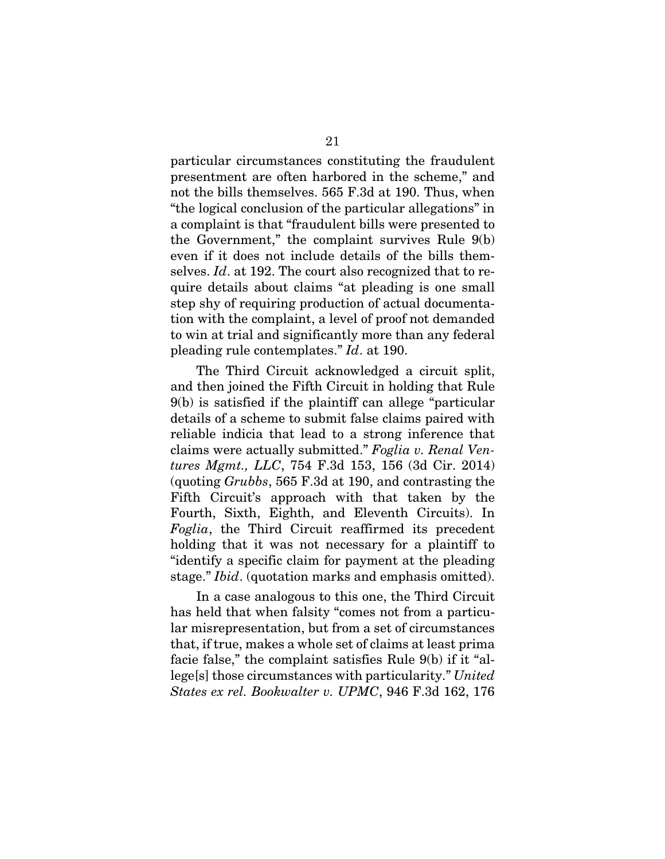particular circumstances constituting the fraudulent presentment are often harbored in the scheme," and not the bills themselves. 565 F.3d at 190. Thus, when "the logical conclusion of the particular allegations" in a complaint is that "fraudulent bills were presented to the Government," the complaint survives Rule 9(b) even if it does not include details of the bills themselves. *Id*. at 192. The court also recognized that to require details about claims "at pleading is one small step shy of requiring production of actual documentation with the complaint, a level of proof not demanded to win at trial and significantly more than any federal pleading rule contemplates." *Id*. at 190.

The Third Circuit acknowledged a circuit split, and then joined the Fifth Circuit in holding that Rule 9(b) is satisfied if the plaintiff can allege "particular details of a scheme to submit false claims paired with reliable indicia that lead to a strong inference that claims were actually submitted." *Foglia v. Renal Ventures Mgmt., LLC*, 754 F.3d 153, 156 (3d Cir. 2014) (quoting *Grubbs*, 565 F.3d at 190, and contrasting the Fifth Circuit's approach with that taken by the Fourth, Sixth, Eighth, and Eleventh Circuits). In *Foglia*, the Third Circuit reaffirmed its precedent holding that it was not necessary for a plaintiff to "identify a specific claim for payment at the pleading stage." *Ibid*. (quotation marks and emphasis omitted).

In a case analogous to this one, the Third Circuit has held that when falsity "comes not from a particular misrepresentation, but from a set of circumstances that, if true, makes a whole set of claims at least prima facie false," the complaint satisfies Rule 9(b) if it "allege[s] those circumstances with particularity." *United States ex rel. Bookwalter v. UPMC*, 946 F.3d 162, 176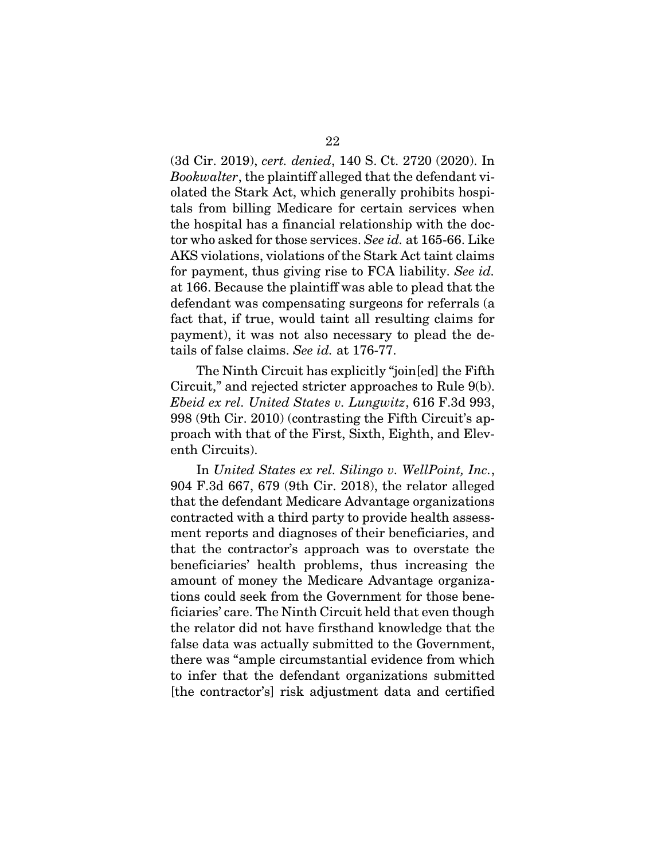(3d Cir. 2019), *cert. denied*, 140 S. Ct. 2720 (2020). In *Bookwalter*, the plaintiff alleged that the defendant violated the Stark Act, which generally prohibits hospitals from billing Medicare for certain services when the hospital has a financial relationship with the doctor who asked for those services. *See id.* at 165-66. Like AKS violations, violations of the Stark Act taint claims for payment, thus giving rise to FCA liability. *See id.* at 166. Because the plaintiff was able to plead that the defendant was compensating surgeons for referrals (a fact that, if true, would taint all resulting claims for payment), it was not also necessary to plead the details of false claims. *See id.* at 176-77.

The Ninth Circuit has explicitly "join[ed] the Fifth Circuit," and rejected stricter approaches to Rule 9(b). *Ebeid ex rel. United States v. Lungwitz*, 616 F.3d 993, 998 (9th Cir. 2010) (contrasting the Fifth Circuit's approach with that of the First, Sixth, Eighth, and Eleventh Circuits).

In *United States ex rel. Silingo v. WellPoint, Inc.*, 904 F.3d 667, 679 (9th Cir. 2018), the relator alleged that the defendant Medicare Advantage organizations contracted with a third party to provide health assessment reports and diagnoses of their beneficiaries, and that the contractor's approach was to overstate the beneficiaries' health problems, thus increasing the amount of money the Medicare Advantage organizations could seek from the Government for those beneficiaries' care. The Ninth Circuit held that even though the relator did not have firsthand knowledge that the false data was actually submitted to the Government, there was "ample circumstantial evidence from which to infer that the defendant organizations submitted [the contractor's] risk adjustment data and certified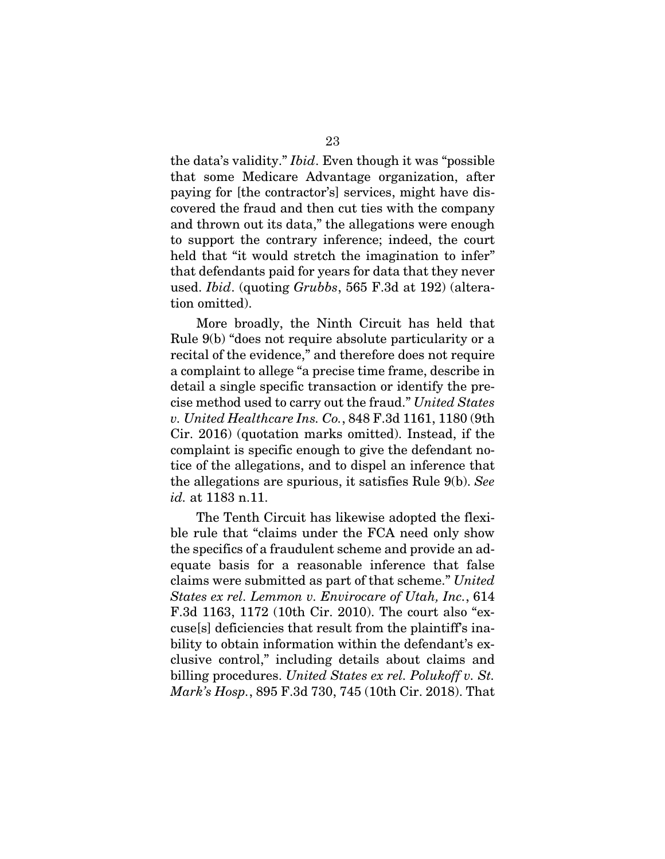the data's validity." *Ibid*. Even though it was "possible that some Medicare Advantage organization, after paying for [the contractor's] services, might have discovered the fraud and then cut ties with the company and thrown out its data," the allegations were enough to support the contrary inference; indeed, the court held that "it would stretch the imagination to infer" that defendants paid for years for data that they never used. *Ibid*. (quoting *Grubbs*, 565 F.3d at 192) (alteration omitted).

More broadly, the Ninth Circuit has held that Rule 9(b) "does not require absolute particularity or a recital of the evidence," and therefore does not require a complaint to allege "a precise time frame, describe in detail a single specific transaction or identify the precise method used to carry out the fraud." *United States v. United Healthcare Ins. Co.*, 848 F.3d 1161, 1180 (9th Cir. 2016) (quotation marks omitted). Instead, if the complaint is specific enough to give the defendant notice of the allegations, and to dispel an inference that the allegations are spurious, it satisfies Rule 9(b). *See id.* at 1183 n.11.

The Tenth Circuit has likewise adopted the flexible rule that "claims under the FCA need only show the specifics of a fraudulent scheme and provide an adequate basis for a reasonable inference that false claims were submitted as part of that scheme." *United States ex rel. Lemmon v. Envirocare of Utah, Inc.*, 614 F.3d 1163, 1172 (10th Cir. 2010). The court also "excuse[s] deficiencies that result from the plaintiff's inability to obtain information within the defendant's exclusive control," including details about claims and billing procedures. *United States ex rel. Polukoff v. St. Mark's Hosp.*, 895 F.3d 730, 745 (10th Cir. 2018). That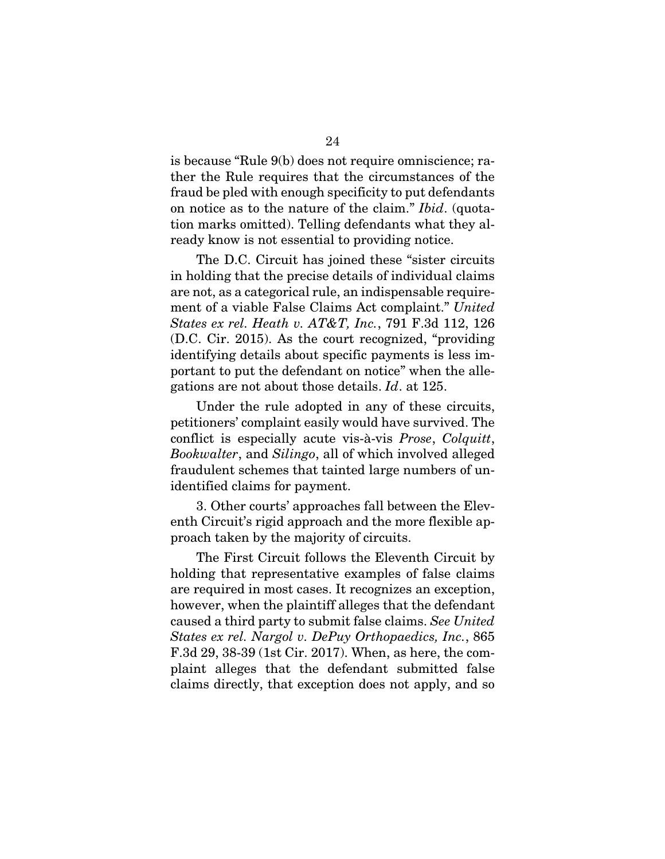is because "Rule 9(b) does not require omniscience; rather the Rule requires that the circumstances of the fraud be pled with enough specificity to put defendants on notice as to the nature of the claim." *Ibid*. (quotation marks omitted). Telling defendants what they already know is not essential to providing notice.

The D.C. Circuit has joined these "sister circuits in holding that the precise details of individual claims are not, as a categorical rule, an indispensable requirement of a viable False Claims Act complaint." *United States ex rel. Heath v. AT&T, Inc.*, 791 F.3d 112, 126 (D.C. Cir. 2015). As the court recognized, "providing identifying details about specific payments is less important to put the defendant on notice" when the allegations are not about those details. *Id*. at 125.

Under the rule adopted in any of these circuits, petitioners' complaint easily would have survived. The conflict is especially acute vis-à-vis *Prose*, *Colquitt*, *Bookwalter*, and *Silingo*, all of which involved alleged fraudulent schemes that tainted large numbers of unidentified claims for payment.

3. Other courts' approaches fall between the Eleventh Circuit's rigid approach and the more flexible approach taken by the majority of circuits.

The First Circuit follows the Eleventh Circuit by holding that representative examples of false claims are required in most cases. It recognizes an exception, however, when the plaintiff alleges that the defendant caused a third party to submit false claims. *See United States ex rel. Nargol v. DePuy Orthopaedics, Inc.*, 865 F.3d 29, 38-39 (1st Cir. 2017). When, as here, the complaint alleges that the defendant submitted false claims directly, that exception does not apply, and so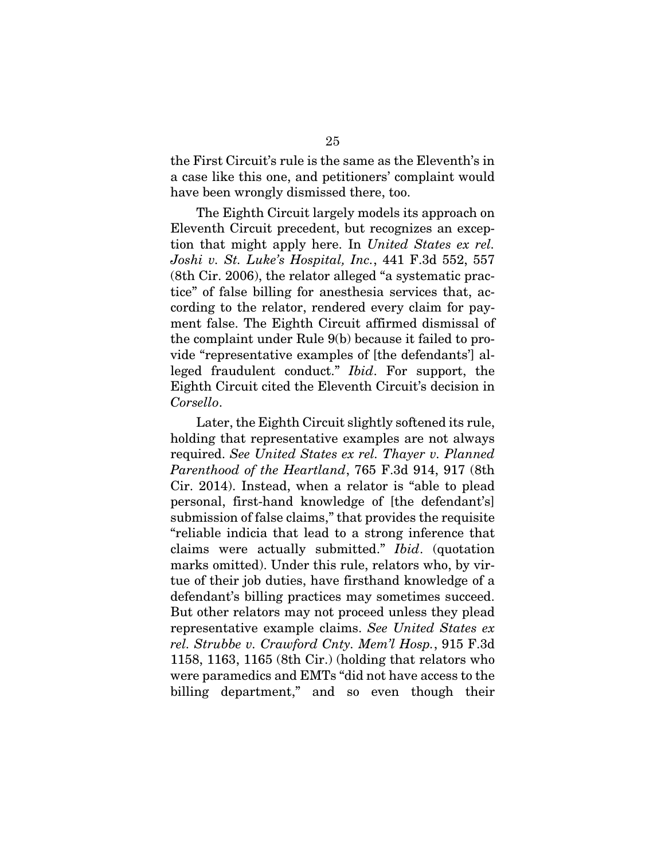the First Circuit's rule is the same as the Eleventh's in a case like this one, and petitioners' complaint would have been wrongly dismissed there, too.

The Eighth Circuit largely models its approach on Eleventh Circuit precedent, but recognizes an exception that might apply here. In *United States ex rel. Joshi v. St. Luke's Hospital, Inc.*, 441 F.3d 552, 557 (8th Cir. 2006), the relator alleged "a systematic practice" of false billing for anesthesia services that, according to the relator, rendered every claim for payment false. The Eighth Circuit affirmed dismissal of the complaint under Rule 9(b) because it failed to provide "representative examples of [the defendants'] alleged fraudulent conduct." *Ibid*. For support, the Eighth Circuit cited the Eleventh Circuit's decision in *Corsello*.

Later, the Eighth Circuit slightly softened its rule, holding that representative examples are not always required. *See United States ex rel. Thayer v. Planned Parenthood of the Heartland*, 765 F.3d 914, 917 (8th Cir. 2014). Instead, when a relator is "able to plead personal, first-hand knowledge of [the defendant's] submission of false claims," that provides the requisite "reliable indicia that lead to a strong inference that claims were actually submitted." *Ibid*. (quotation marks omitted). Under this rule, relators who, by virtue of their job duties, have firsthand knowledge of a defendant's billing practices may sometimes succeed. But other relators may not proceed unless they plead representative example claims. *See United States ex rel. Strubbe v. Crawford Cnty. Mem'l Hosp.*, 915 F.3d 1158, 1163, 1165 (8th Cir.) (holding that relators who were paramedics and EMTs "did not have access to the billing department," and so even though their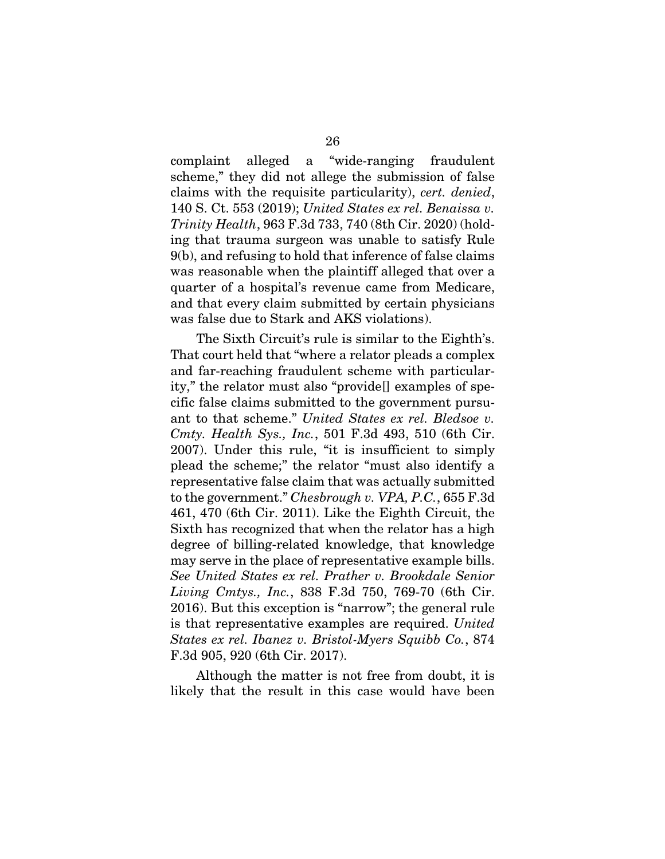complaint alleged a "wide-ranging fraudulent scheme," they did not allege the submission of false claims with the requisite particularity), *cert. denied*, 140 S. Ct. 553 (2019); *United States ex rel. Benaissa v. Trinity Health*, 963 F.3d 733, 740 (8th Cir. 2020) (holding that trauma surgeon was unable to satisfy Rule 9(b), and refusing to hold that inference of false claims was reasonable when the plaintiff alleged that over a quarter of a hospital's revenue came from Medicare, and that every claim submitted by certain physicians was false due to Stark and AKS violations).

The Sixth Circuit's rule is similar to the Eighth's. That court held that "where a relator pleads a complex and far-reaching fraudulent scheme with particularity," the relator must also "provide[] examples of specific false claims submitted to the government pursuant to that scheme." *United States ex rel. Bledsoe v. Cmty. Health Sys., Inc.*, 501 F.3d 493, 510 (6th Cir. 2007). Under this rule, "it is insufficient to simply plead the scheme;" the relator "must also identify a representative false claim that was actually submitted to the government." *Chesbrough v. VPA, P.C.*, 655 F.3d 461, 470 (6th Cir. 2011). Like the Eighth Circuit, the Sixth has recognized that when the relator has a high degree of billing-related knowledge, that knowledge may serve in the place of representative example bills. *See United States ex rel. Prather v. Brookdale Senior Living Cmtys., Inc.*, 838 F.3d 750, 769-70 (6th Cir. 2016). But this exception is "narrow"; the general rule is that representative examples are required. *United States ex rel. Ibanez v. Bristol-Myers Squibb Co.*, 874 F.3d 905, 920 (6th Cir. 2017).

Although the matter is not free from doubt, it is likely that the result in this case would have been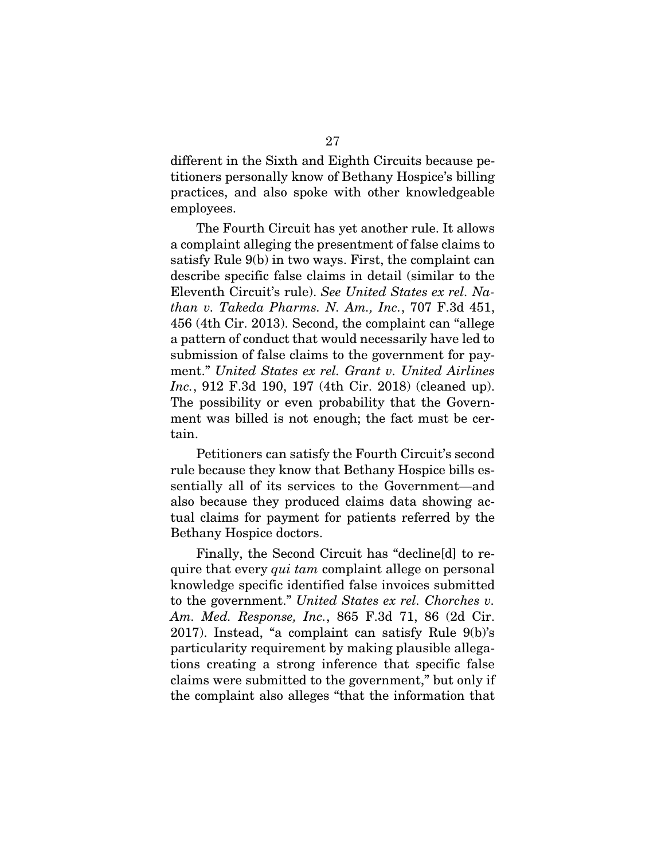different in the Sixth and Eighth Circuits because petitioners personally know of Bethany Hospice's billing practices, and also spoke with other knowledgeable employees.

The Fourth Circuit has yet another rule. It allows a complaint alleging the presentment of false claims to satisfy Rule 9(b) in two ways. First, the complaint can describe specific false claims in detail (similar to the Eleventh Circuit's rule). *See United States ex rel. Nathan v. Takeda Pharms. N. Am., Inc.*, 707 F.3d 451, 456 (4th Cir. 2013). Second, the complaint can "allege a pattern of conduct that would necessarily have led to submission of false claims to the government for payment." *United States ex rel. Grant v. United Airlines Inc.*, 912 F.3d 190, 197 (4th Cir. 2018) (cleaned up). The possibility or even probability that the Government was billed is not enough; the fact must be certain.

Petitioners can satisfy the Fourth Circuit's second rule because they know that Bethany Hospice bills essentially all of its services to the Government—and also because they produced claims data showing actual claims for payment for patients referred by the Bethany Hospice doctors.

Finally, the Second Circuit has "decline[d] to require that every *qui tam* complaint allege on personal knowledge specific identified false invoices submitted to the government." *United States ex rel. Chorches v. Am. Med. Response, Inc.*, 865 F.3d 71, 86 (2d Cir. 2017). Instead, "a complaint can satisfy Rule 9(b)'s particularity requirement by making plausible allegations creating a strong inference that specific false claims were submitted to the government," but only if the complaint also alleges "that the information that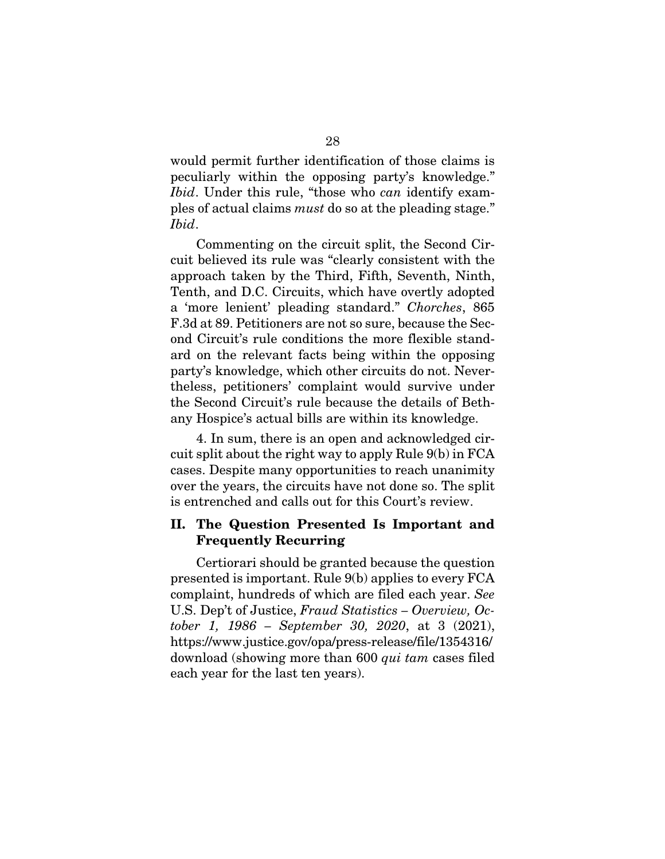would permit further identification of those claims is peculiarly within the opposing party's knowledge." *Ibid*. Under this rule, "those who *can* identify examples of actual claims *must* do so at the pleading stage." *Ibid*.

Commenting on the circuit split, the Second Circuit believed its rule was "clearly consistent with the approach taken by the Third, Fifth, Seventh, Ninth, Tenth, and D.C. Circuits, which have overtly adopted a 'more lenient' pleading standard." *Chorches*, 865 F.3d at 89. Petitioners are not so sure, because the Second Circuit's rule conditions the more flexible standard on the relevant facts being within the opposing party's knowledge, which other circuits do not. Nevertheless, petitioners' complaint would survive under the Second Circuit's rule because the details of Bethany Hospice's actual bills are within its knowledge.

4. In sum, there is an open and acknowledged circuit split about the right way to apply Rule 9(b) in FCA cases. Despite many opportunities to reach unanimity over the years, the circuits have not done so. The split is entrenched and calls out for this Court's review.

## <span id="page-38-0"></span>II. The Question Presented Is Important and Frequently Recurring

Certiorari should be granted because the question presented is important. Rule 9(b) applies to every FCA complaint, hundreds of which are filed each year. *See* U.S. Dep't of Justice, *Fraud Statistics – Overview, October 1, 1986 – September 30, 2020*, at 3 (2021), https://www.justice.gov/opa/press-release/file/1354316/ download (showing more than 600 *qui tam* cases filed each year for the last ten years).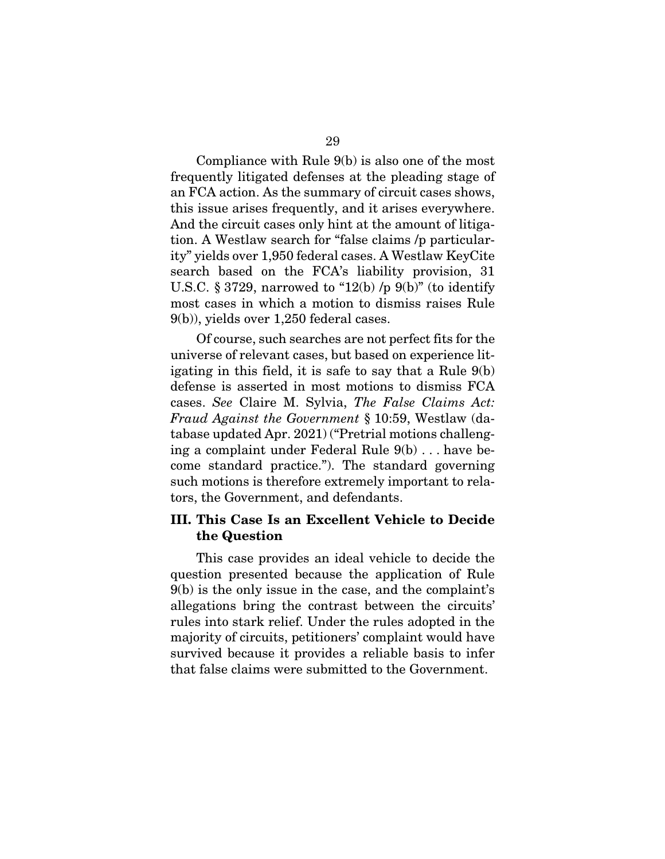Compliance with Rule 9(b) is also one of the most frequently litigated defenses at the pleading stage of an FCA action. As the summary of circuit cases shows, this issue arises frequently, and it arises everywhere. And the circuit cases only hint at the amount of litigation. A Westlaw search for "false claims /p particularity" yields over 1,950 federal cases. A Westlaw KeyCite search based on the FCA's liability provision, 31 U.S.C. § 3729, narrowed to "12(b)  $/p$  9(b)" (to identify most cases in which a motion to dismiss raises Rule 9(b)), yields over 1,250 federal cases.

Of course, such searches are not perfect fits for the universe of relevant cases, but based on experience litigating in this field, it is safe to say that a Rule 9(b) defense is asserted in most motions to dismiss FCA cases. *See* Claire M. Sylvia, *The False Claims Act: Fraud Against the Government* § 10:59, Westlaw (database updated Apr. 2021) ("Pretrial motions challenging a complaint under Federal Rule 9(b) . . . have become standard practice."). The standard governing such motions is therefore extremely important to relators, the Government, and defendants.

## <span id="page-39-0"></span>III. This Case Is an Excellent Vehicle to Decide the Question

This case provides an ideal vehicle to decide the question presented because the application of Rule 9(b) is the only issue in the case, and the complaint's allegations bring the contrast between the circuits' rules into stark relief. Under the rules adopted in the majority of circuits, petitioners' complaint would have survived because it provides a reliable basis to infer that false claims were submitted to the Government.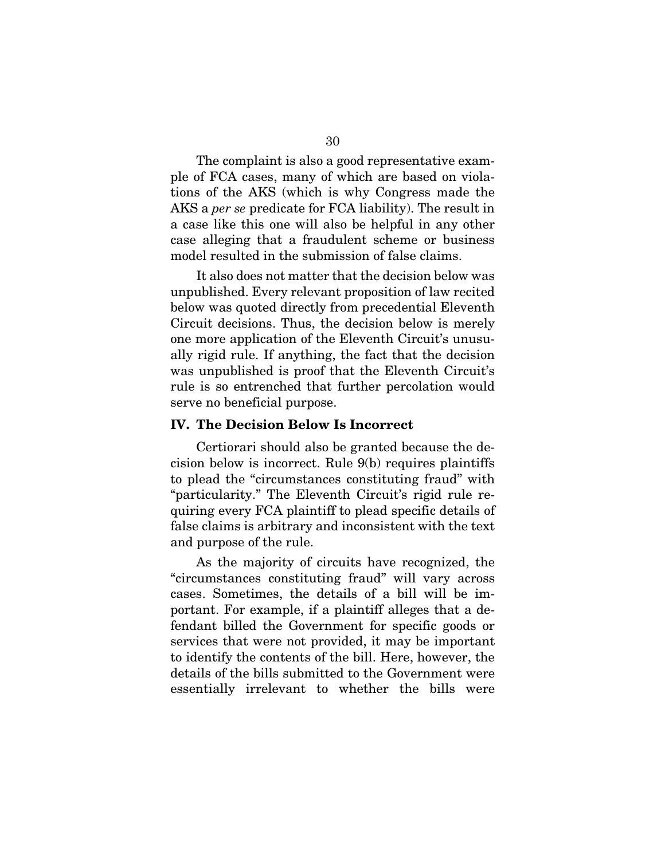The complaint is also a good representative example of FCA cases, many of which are based on violations of the AKS (which is why Congress made the AKS a *per se* predicate for FCA liability). The result in a case like this one will also be helpful in any other case alleging that a fraudulent scheme or business model resulted in the submission of false claims.

It also does not matter that the decision below was unpublished. Every relevant proposition of law recited below was quoted directly from precedential Eleventh Circuit decisions. Thus, the decision below is merely one more application of the Eleventh Circuit's unusually rigid rule. If anything, the fact that the decision was unpublished is proof that the Eleventh Circuit's rule is so entrenched that further percolation would serve no beneficial purpose.

#### <span id="page-40-0"></span>IV. The Decision Below Is Incorrect

Certiorari should also be granted because the decision below is incorrect. Rule 9(b) requires plaintiffs to plead the "circumstances constituting fraud" with "particularity." The Eleventh Circuit's rigid rule requiring every FCA plaintiff to plead specific details of false claims is arbitrary and inconsistent with the text and purpose of the rule.

As the majority of circuits have recognized, the "circumstances constituting fraud" will vary across cases. Sometimes, the details of a bill will be important. For example, if a plaintiff alleges that a defendant billed the Government for specific goods or services that were not provided, it may be important to identify the contents of the bill. Here, however, the details of the bills submitted to the Government were essentially irrelevant to whether the bills were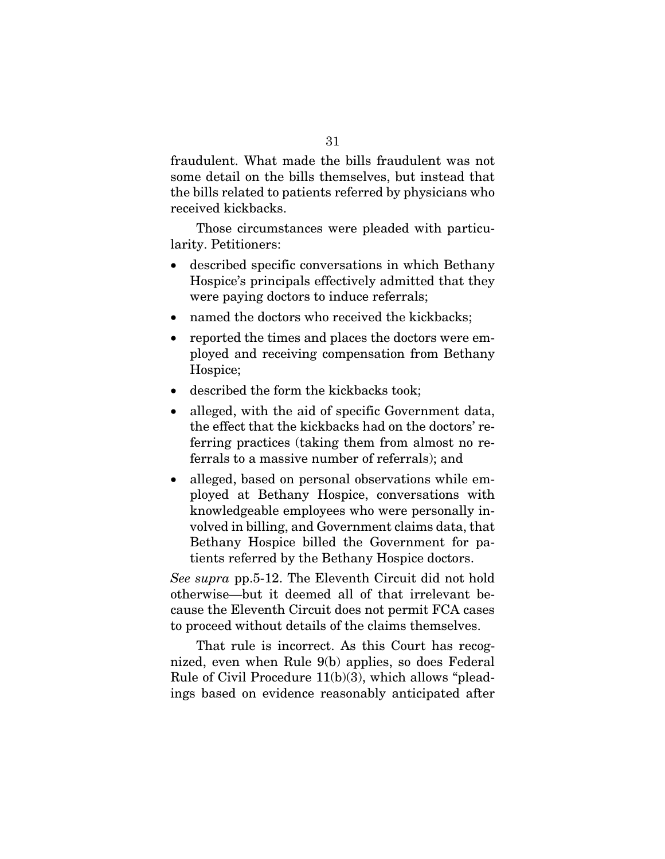fraudulent. What made the bills fraudulent was not some detail on the bills themselves, but instead that the bills related to patients referred by physicians who received kickbacks.

Those circumstances were pleaded with particularity. Petitioners:

- described specific conversations in which Bethany Hospice's principals effectively admitted that they were paying doctors to induce referrals;
- named the doctors who received the kickbacks;
- reported the times and places the doctors were employed and receiving compensation from Bethany Hospice;
- described the form the kickbacks took;
- alleged, with the aid of specific Government data, the effect that the kickbacks had on the doctors' referring practices (taking them from almost no referrals to a massive number of referrals); and
- alleged, based on personal observations while employed at Bethany Hospice, conversations with knowledgeable employees who were personally involved in billing, and Government claims data, that Bethany Hospice billed the Government for patients referred by the Bethany Hospice doctors.

*See supra* pp.5-12. The Eleventh Circuit did not hold otherwise—but it deemed all of that irrelevant because the Eleventh Circuit does not permit FCA cases to proceed without details of the claims themselves.

That rule is incorrect. As this Court has recognized, even when Rule 9(b) applies, so does Federal Rule of Civil Procedure 11(b)(3), which allows "pleadings based on evidence reasonably anticipated after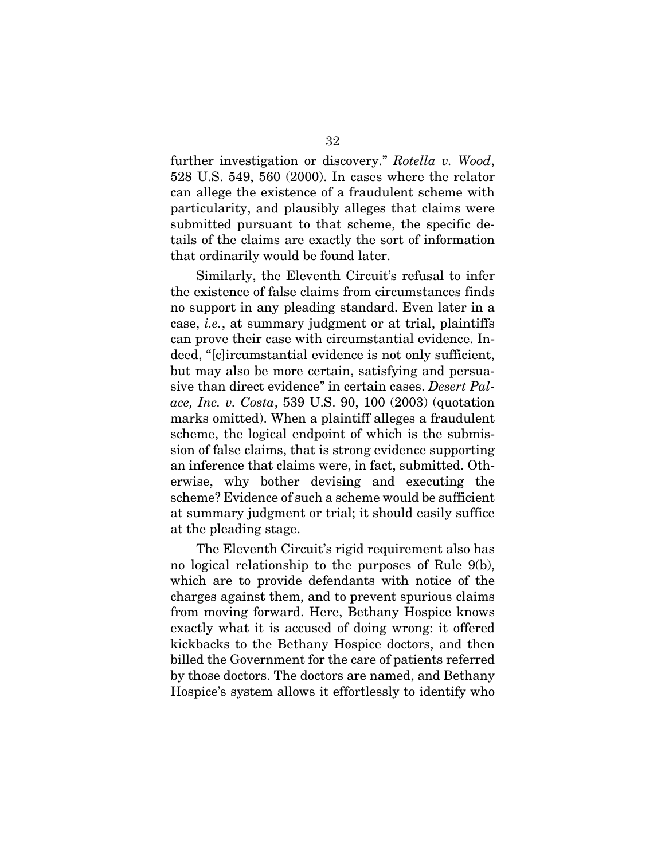further investigation or discovery." *Rotella v. Wood*, 528 U.S. 549, 560 (2000). In cases where the relator can allege the existence of a fraudulent scheme with particularity, and plausibly alleges that claims were submitted pursuant to that scheme, the specific details of the claims are exactly the sort of information that ordinarily would be found later.

Similarly, the Eleventh Circuit's refusal to infer the existence of false claims from circumstances finds no support in any pleading standard. Even later in a case, *i.e.*, at summary judgment or at trial, plaintiffs can prove their case with circumstantial evidence. Indeed, "[c]ircumstantial evidence is not only sufficient, but may also be more certain, satisfying and persuasive than direct evidence" in certain cases. *Desert Palace, Inc. v. Costa*, 539 U.S. 90, 100 (2003) (quotation marks omitted). When a plaintiff alleges a fraudulent scheme, the logical endpoint of which is the submission of false claims, that is strong evidence supporting an inference that claims were, in fact, submitted. Otherwise, why bother devising and executing the scheme? Evidence of such a scheme would be sufficient at summary judgment or trial; it should easily suffice at the pleading stage.

The Eleventh Circuit's rigid requirement also has no logical relationship to the purposes of Rule 9(b), which are to provide defendants with notice of the charges against them, and to prevent spurious claims from moving forward. Here, Bethany Hospice knows exactly what it is accused of doing wrong: it offered kickbacks to the Bethany Hospice doctors, and then billed the Government for the care of patients referred by those doctors. The doctors are named, and Bethany Hospice's system allows it effortlessly to identify who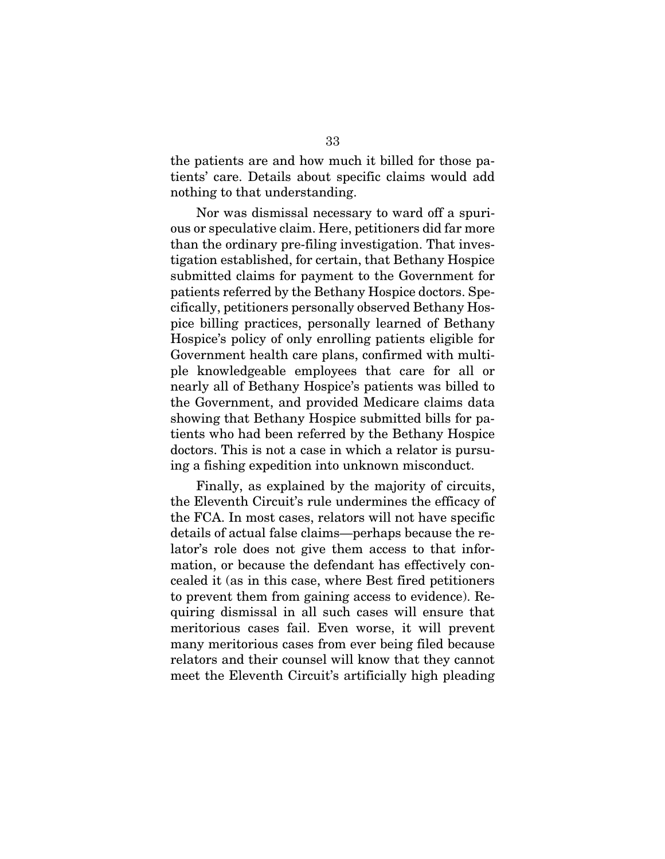the patients are and how much it billed for those patients' care. Details about specific claims would add nothing to that understanding.

Nor was dismissal necessary to ward off a spurious or speculative claim. Here, petitioners did far more than the ordinary pre-filing investigation. That investigation established, for certain, that Bethany Hospice submitted claims for payment to the Government for patients referred by the Bethany Hospice doctors. Specifically, petitioners personally observed Bethany Hospice billing practices, personally learned of Bethany Hospice's policy of only enrolling patients eligible for Government health care plans, confirmed with multiple knowledgeable employees that care for all or nearly all of Bethany Hospice's patients was billed to the Government, and provided Medicare claims data showing that Bethany Hospice submitted bills for patients who had been referred by the Bethany Hospice doctors. This is not a case in which a relator is pursuing a fishing expedition into unknown misconduct.

Finally, as explained by the majority of circuits, the Eleventh Circuit's rule undermines the efficacy of the FCA. In most cases, relators will not have specific details of actual false claims—perhaps because the relator's role does not give them access to that information, or because the defendant has effectively concealed it (as in this case, where Best fired petitioners to prevent them from gaining access to evidence). Requiring dismissal in all such cases will ensure that meritorious cases fail. Even worse, it will prevent many meritorious cases from ever being filed because relators and their counsel will know that they cannot meet the Eleventh Circuit's artificially high pleading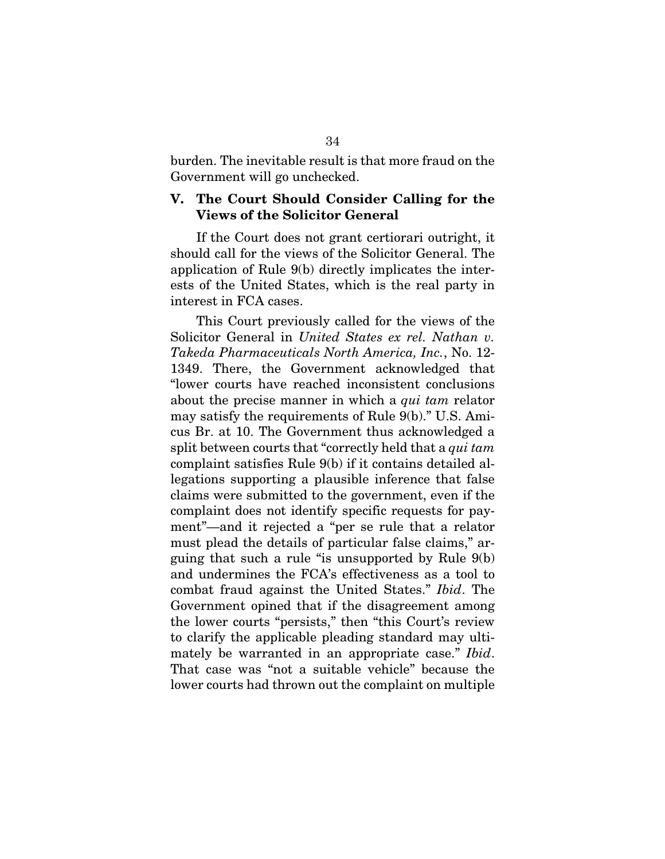burden. The inevitable result is that more fraud on the Government will go unchecked.

### <span id="page-44-0"></span>V. The Court Should Consider Calling for the Views of the Solicitor General

If the Court does not grant certiorari outright, it should call for the views of the Solicitor General. The application of Rule 9(b) directly implicates the interests of the United States, which is the real party in interest in FCA cases.

This Court previously called for the views of the Solicitor General in *United States ex rel. Nathan v. Takeda Pharmaceuticals North America, Inc.*, No. 12- 1349. There, the Government acknowledged that "lower courts have reached inconsistent conclusions about the precise manner in which a *qui tam* relator may satisfy the requirements of Rule 9(b)." U.S. Amicus Br. at 10. The Government thus acknowledged a split between courts that "correctly held that a *qui tam* complaint satisfies Rule 9(b) if it contains detailed allegations supporting a plausible inference that false claims were submitted to the government, even if the complaint does not identify specific requests for payment"—and it rejected a "per se rule that a relator must plead the details of particular false claims," arguing that such a rule "is unsupported by Rule 9(b) and undermines the FCA's effectiveness as a tool to combat fraud against the United States." *Ibid*. The Government opined that if the disagreement among the lower courts "persists," then "this Court's review to clarify the applicable pleading standard may ultimately be warranted in an appropriate case." *Ibid*. That case was "not a suitable vehicle" because the lower courts had thrown out the complaint on multiple